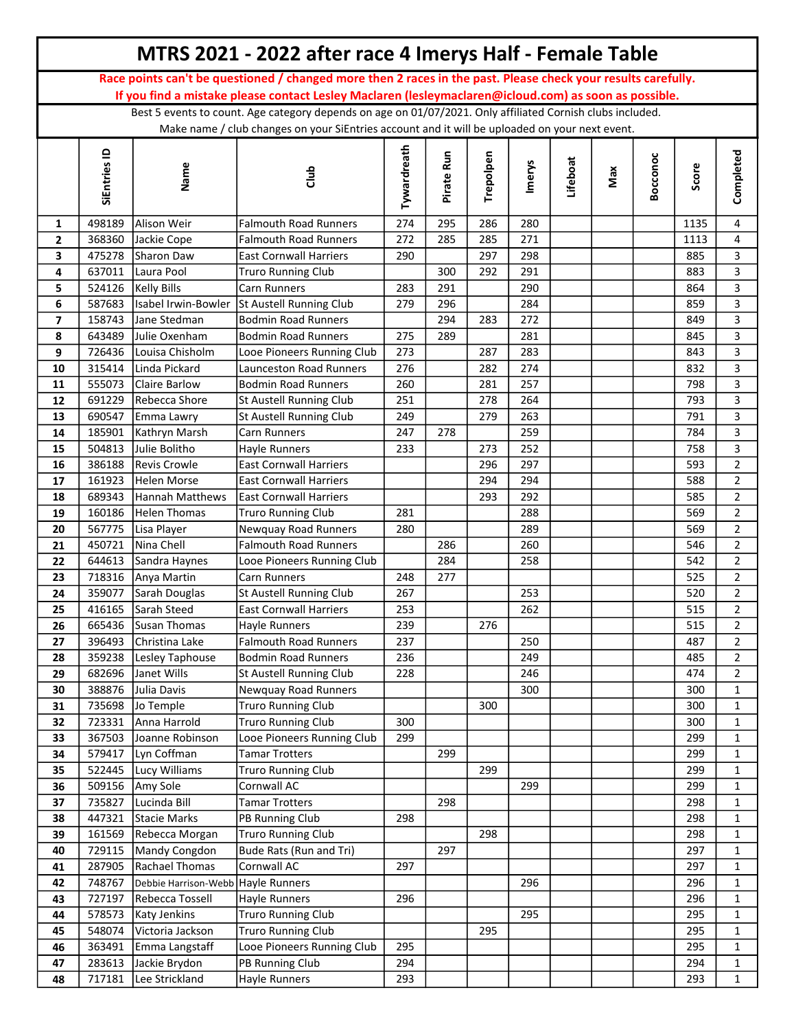|                |                  |                                           | MTRS 2021 - 2022 after race 4 Imerys Half - Female Table                                                      |             |            |            |            |          |     |          |            |                                |
|----------------|------------------|-------------------------------------------|---------------------------------------------------------------------------------------------------------------|-------------|------------|------------|------------|----------|-----|----------|------------|--------------------------------|
|                |                  |                                           | Race points can't be questioned / changed more then 2 races in the past. Please check your results carefully. |             |            |            |            |          |     |          |            |                                |
|                |                  |                                           | If you find a mistake please contact Lesley Maclaren (lesleymaclaren@icloud.com) as soon as possible.         |             |            |            |            |          |     |          |            |                                |
|                |                  |                                           | Best 5 events to count. Age category depends on age on 01/07/2021. Only affiliated Cornish clubs included.    |             |            |            |            |          |     |          |            |                                |
|                |                  |                                           | Make name / club changes on your SiEntries account and it will be uploaded on your next event.                |             |            |            |            |          |     |          |            |                                |
|                | SiEntries ID     | Name                                      | dub                                                                                                           | Tywardreath | Pirate Run | Trepolpen  | Imerys     | Lifeboat | Max | Bocconoc | Score      | Completed                      |
| 1              | 498189           | Alison Weir                               | <b>Falmouth Road Runners</b>                                                                                  | 274         | 295        | 286        | 280        |          |     |          | 1135       | 4                              |
| $\mathbf{2}$   | 368360           | Jackie Cope                               | Falmouth Road Runners                                                                                         | 272         | 285        | 285        | 271        |          |     |          | 1113       | $\overline{4}$                 |
| 3              | 475278           | Sharon Daw                                | <b>East Cornwall Harriers</b>                                                                                 | 290         |            | 297        | 298        |          |     |          | 885        | 3                              |
| 4              | 637011           | Laura Pool                                | <b>Truro Running Club</b>                                                                                     |             | 300        | 292        | 291        |          |     |          | 883        | $\overline{3}$                 |
| 5              | 524126           | <b>Kelly Bills</b>                        | Carn Runners                                                                                                  | 283         | 291        |            | 290        |          |     |          | 864        | 3                              |
| 6              | 587683           | Isabel Irwin-Bowler                       | St Austell Running Club                                                                                       | 279         | 296        |            | 284        |          |     |          | 859        | $\overline{3}$                 |
| $\overline{ }$ | 158743           | Jane Stedman                              | <b>Bodmin Road Runners</b>                                                                                    |             | 294        | 283        | 272        |          |     |          | 849        | 3                              |
| 8              | 643489           | Julie Oxenham                             | <b>Bodmin Road Runners</b>                                                                                    | 275         | 289        |            | 281        |          |     |          | 845        | $\overline{3}$                 |
| 9              | 726436           | Louisa Chisholm                           | Looe Pioneers Running Club                                                                                    | 273         |            | 287        | 283        |          |     |          | 843        | 3                              |
| 10             | 315414           | Linda Pickard                             | Launceston Road Runners                                                                                       | 276         |            | 282        | 274        |          |     |          | 832        | $\overline{3}$                 |
| 11             | 555073           | <b>Claire Barlow</b>                      | <b>Bodmin Road Runners</b>                                                                                    | 260         |            | 281        | 257        |          |     |          | 798        | 3                              |
| 12             | 691229           | Rebecca Shore                             | St Austell Running Club                                                                                       | 251         |            | 278        | 264        |          |     |          | 793        | $\overline{3}$                 |
| 13             | 690547           | Emma Lawry                                | St Austell Running Club                                                                                       | 249         |            | 279        | 263        |          |     |          | 791        | 3                              |
| 14             | 185901           | Kathryn Marsh                             | Carn Runners                                                                                                  | 247         | 278        |            | 259        |          |     |          | 784        | $\mathbf{3}$                   |
| 15             | 504813           | Julie Bolitho                             | Hayle Runners                                                                                                 | 233         |            | 273        | 252<br>297 |          |     |          | 758        | $\mathbf{3}$<br>$\overline{2}$ |
| 16             | 386188<br>161923 | <b>Revis Crowle</b><br><b>Helen Morse</b> | <b>East Cornwall Harriers</b><br><b>East Cornwall Harriers</b>                                                |             |            | 296<br>294 | 294        |          |     |          | 593<br>588 | $\overline{2}$                 |
| 17<br>18       | 689343           | Hannah Matthews                           | <b>East Cornwall Harriers</b>                                                                                 |             |            | 293        | 292        |          |     |          | 585        | $\overline{2}$                 |
| 19             | 160186           | Helen Thomas                              | <b>Truro Running Club</b>                                                                                     | 281         |            |            | 288        |          |     |          | 569        | $\overline{2}$                 |
| 20             | 567775           | Lisa Player                               | Newquay Road Runners                                                                                          | 280         |            |            | 289        |          |     |          | 569        | $\overline{2}$                 |
| 21             | 450721           | Nina Chell                                | <b>Falmouth Road Runners</b>                                                                                  |             | 286        |            | 260        |          |     |          | 546        | $\overline{2}$                 |
| 22             | 644613           | Sandra Haynes                             | Looe Pioneers Running Club                                                                                    |             | 284        |            | 258        |          |     |          | 542        | $\overline{2}$                 |
| 23             | 718316           | Anya Martin                               | Carn Runners                                                                                                  | 248         | 277        |            |            |          |     |          | 525        | $\overline{2}$                 |
| 24             | 359077           | Sarah Douglas                             | St Austell Running Club                                                                                       | 267         |            |            | 253        |          |     |          | 520        | $\overline{2}$                 |
| 25             | 416165           | Sarah Steed                               | <b>East Cornwall Harriers</b>                                                                                 | 253         |            |            | 262        |          |     |          | 515        | $\overline{2}$                 |
| 26             |                  | 665436 Susan Thomas                       | Hayle Runners                                                                                                 | 239         |            | 276        |            |          |     |          | 515        | $\overline{2}$                 |
| 27             | 396493           | Christina Lake                            | <b>Falmouth Road Runners</b>                                                                                  | 237         |            |            | 250        |          |     |          | 487        | $\overline{2}$                 |
| 28             | 359238           | Lesley Taphouse                           | <b>Bodmin Road Runners</b>                                                                                    | 236         |            |            | 249        |          |     |          | 485        | $\overline{2}$                 |
| 29             | 682696           | Janet Wills                               | St Austell Running Club                                                                                       | 228         |            |            | 246        |          |     |          | 474        | $\overline{2}$                 |
| 30             | 388876           | Julia Davis                               | Newquay Road Runners                                                                                          |             |            |            | 300        |          |     |          | 300        | $\mathbf{1}$                   |
| 31             | 735698           | Jo Temple                                 | <b>Truro Running Club</b>                                                                                     |             |            | 300        |            |          |     |          | 300        | $\mathbf{1}$                   |
| 32             | 723331           | Anna Harrold                              | <b>Truro Running Club</b>                                                                                     | 300         |            |            |            |          |     |          | 300        | $\mathbf{1}$                   |
| 33             | 367503           | Joanne Robinson                           | Looe Pioneers Running Club                                                                                    | 299         |            |            |            |          |     |          | 299        | $\mathbf{1}$                   |
| 34             | 579417           | Lyn Coffman                               | <b>Tamar Trotters</b>                                                                                         |             | 299        |            |            |          |     |          | 299        | $\mathbf{1}$                   |
| 35             | 522445           | Lucy Williams                             | <b>Truro Running Club</b>                                                                                     |             |            | 299        |            |          |     |          | 299        | $\mathbf{1}$                   |
| 36             | 509156           | Amy Sole<br>Lucinda Bill                  | Cornwall AC                                                                                                   |             | 298        |            | 299        |          |     |          | 299        | $\mathbf{1}$                   |
| 37             | 735827<br>447321 | Stacie Marks                              | <b>Tamar Trotters</b><br>PB Running Club                                                                      |             |            |            |            |          |     |          | 298<br>298 | $\mathbf{1}$                   |
| 38<br>39       | 161569           | Rebecca Morgan                            | Truro Running Club                                                                                            | 298         |            | 298        |            |          |     |          | 298        | $\mathbf{1}$<br>$\mathbf 1$    |
| 40             | 729115           | Mandy Congdon                             | Bude Rats (Run and Tri)                                                                                       |             | 297        |            |            |          |     |          | 297        | $\mathbf{1}$                   |
| 41             | 287905           | Rachael Thomas                            | Cornwall AC                                                                                                   | 297         |            |            |            |          |     |          | 297        | $\mathbf{1}$                   |
| 42             | 748767           | Debbie Harrison-Webb                      | <b>Hayle Runners</b>                                                                                          |             |            |            | 296        |          |     |          | 296        | $\mathbf{1}$                   |
| 43             | 727197           | Rebecca Tossell                           | Hayle Runners                                                                                                 | 296         |            |            |            |          |     |          | 296        | $\mathbf{1}$                   |
| 44             | 578573           | Katy Jenkins                              | <b>Truro Running Club</b>                                                                                     |             |            |            | 295        |          |     |          | 295        | $\mathbf{1}$                   |
| 45             | 548074           | Victoria Jackson                          | <b>Truro Running Club</b>                                                                                     |             |            | 295        |            |          |     |          | 295        | $\mathbf{1}$                   |
| 46             | 363491           | Emma Langstaff                            | Looe Pioneers Running Club                                                                                    | 295         |            |            |            |          |     |          | 295        | $\mathbf{1}$                   |
| 47             | 283613           | Jackie Brydon                             | PB Running Club                                                                                               | 294         |            |            |            |          |     |          | 294        | $\mathbf{1}$                   |
| 48             | 717181           | Lee Strickland                            | Hayle Runners                                                                                                 | 293         |            |            |            |          |     |          | 293        | $\mathbf 1$                    |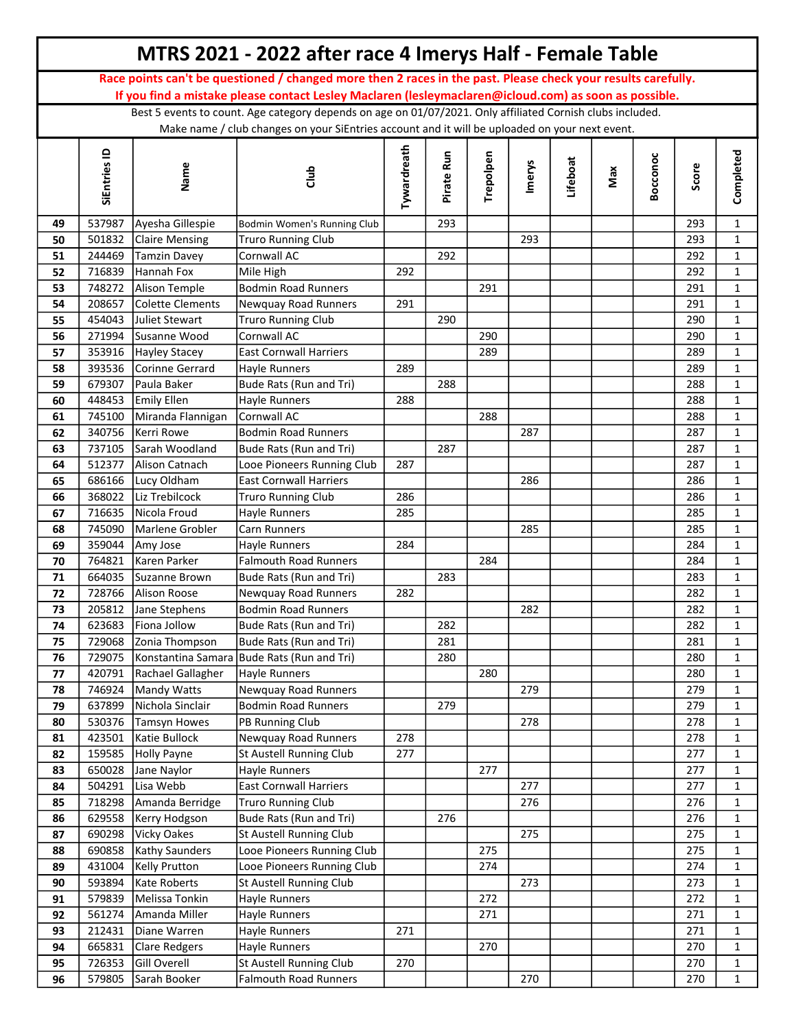|          |                  |                                  | MTRS 2021 - 2022 after race 4 Imerys Half - Female Table                                                      |             |            |           |        |          |     |          |            |                              |
|----------|------------------|----------------------------------|---------------------------------------------------------------------------------------------------------------|-------------|------------|-----------|--------|----------|-----|----------|------------|------------------------------|
|          |                  |                                  | Race points can't be questioned / changed more then 2 races in the past. Please check your results carefully. |             |            |           |        |          |     |          |            |                              |
|          |                  |                                  | If you find a mistake please contact Lesley Maclaren (lesleymaclaren@icloud.com) as soon as possible.         |             |            |           |        |          |     |          |            |                              |
|          |                  |                                  | Best 5 events to count. Age category depends on age on 01/07/2021. Only affiliated Cornish clubs included.    |             |            |           |        |          |     |          |            |                              |
|          |                  |                                  | Make name / club changes on your SiEntries account and it will be uploaded on your next event.                |             |            |           |        |          |     |          |            |                              |
|          | SiEntries ID     | Name                             | dub                                                                                                           | Tywardreath | Pirate Run | Trepolpen | Imerys | Lifeboat | Max | Bocconoc | Score      | Completed                    |
| 49       | 537987           | Ayesha Gillespie                 | Bodmin Women's Running Club                                                                                   |             | 293        |           |        |          |     |          | 293        | $\mathbf{1}$                 |
| 50       | 501832           | <b>Claire Mensing</b>            | <b>Truro Running Club</b>                                                                                     |             |            |           | 293    |          |     |          | 293        | $\mathbf{1}$                 |
| 51       | 244469           | <b>Tamzin Davey</b>              | Cornwall AC                                                                                                   |             | 292        |           |        |          |     |          | 292        | $\mathbf{1}$                 |
| 52       | 716839           | Hannah Fox                       | Mile High                                                                                                     | 292         |            |           |        |          |     |          | 292        | $\mathbf{1}$                 |
| 53       | 748272           | Alison Temple                    | <b>Bodmin Road Runners</b>                                                                                    |             |            | 291       |        |          |     |          | 291        | $\mathbf{1}$                 |
| 54       | 208657           | Colette Clements                 | Newquay Road Runners                                                                                          | 291         |            |           |        |          |     |          | 291        | $\mathbf{1}$                 |
| 55       | 454043           | Juliet Stewart                   | <b>Truro Running Club</b>                                                                                     |             | 290        |           |        |          |     |          | 290        | $\mathbf{1}$                 |
| 56       | 271994           | Susanne Wood                     | Cornwall AC                                                                                                   |             |            | 290       |        |          |     |          | 290        | $\mathbf{1}$                 |
| 57       | 353916           | Hayley Stacey                    | <b>East Cornwall Harriers</b>                                                                                 |             |            | 289       |        |          |     |          | 289        | $\mathbf{1}$                 |
| 58       | 393536           | Corinne Gerrard                  | Hayle Runners                                                                                                 | 289         |            |           |        |          |     |          | 289        | $\mathbf{1}$                 |
| 59       | 679307           | Paula Baker                      | Bude Rats (Run and Tri)                                                                                       |             | 288        |           |        |          |     |          | 288        | $\mathbf{1}$                 |
| 60       | 448453           | Emily Ellen                      | Hayle Runners                                                                                                 | 288         |            |           |        |          |     |          | 288        | $\mathbf{1}$                 |
| 61       | 745100           | Miranda Flannigan                | <b>Cornwall AC</b>                                                                                            |             |            | 288       |        |          |     |          | 288        | $\mathbf{1}$                 |
| 62       | 340756           | Kerri Rowe                       | <b>Bodmin Road Runners</b>                                                                                    |             |            |           | 287    |          |     |          | 287        | $\mathbf{1}$                 |
| 63       | 737105           | <b>Sarah Woodland</b>            | Bude Rats (Run and Tri)                                                                                       |             | 287        |           |        |          |     |          | 287        | $\mathbf{1}$                 |
| 64       | 512377           | Alison Catnach                   | Looe Pioneers Running Club                                                                                    | 287         |            |           |        |          |     |          | 287        | $\mathbf{1}$                 |
| 65       | 686166           | Lucy Oldham                      | <b>East Cornwall Harriers</b>                                                                                 |             |            |           | 286    |          |     |          | 286        | $\mathbf{1}$                 |
| 66       | 368022           | Liz Trebilcock                   | <b>Truro Running Club</b>                                                                                     | 286         |            |           |        |          |     |          | 286        | $\mathbf{1}$                 |
| 67       | 716635           | Nicola Froud                     | Hayle Runners                                                                                                 | 285         |            |           |        |          |     |          | 285        | $\mathbf{1}$                 |
| 68       | 745090           | Marlene Grobler                  | Carn Runners                                                                                                  |             |            |           | 285    |          |     |          | 285        | $\mathbf{1}$                 |
| 69       | 359044           | Amy Jose                         | Hayle Runners                                                                                                 | 284         |            |           |        |          |     |          | 284        | $\mathbf{1}$                 |
| 70       | 764821           | lKaren Parker                    | <b>Falmouth Road Runners</b>                                                                                  |             |            | 284       |        |          |     |          | 284        | $\mathbf{1}$                 |
| 71       | 664035           | Suzanne Brown                    | Bude Rats (Run and Tri)                                                                                       |             | 283        |           |        |          |     |          | 283        | $\mathbf{1}$                 |
| 72       | 728766           | Alison Roose                     | Newquay Road Runners                                                                                          | 282         |            |           |        |          |     |          | 282        | $\mathbf{1}$                 |
| 73       | 205812           | Jane Stephens                    | <b>Bodmin Road Runners</b>                                                                                    |             |            |           | 282    |          |     |          | 282        | $\mathbf{1}$                 |
| 74       |                  | 623683 Fiona Jollow              | Bude Rats (Run and Tri)                                                                                       |             | 282        |           |        |          |     |          | 282        | 1                            |
| 75       | 729068           | Zonia Thompson                   | Bude Rats (Run and Tri)                                                                                       |             | 281        |           |        |          |     |          | 281        | $\mathbf{1}$                 |
| 76       | 729075           |                                  | Konstantina Samara Bude Rats (Run and Tri)                                                                    |             | 280        |           |        |          |     |          | 280        | $\mathbf{1}$                 |
| 77       | 420791           | Rachael Gallagher                | Hayle Runners                                                                                                 |             |            | 280       |        |          |     |          | 280        | $\mathbf{1}$                 |
| 78       | 746924           | Mandy Watts                      | Newquay Road Runners                                                                                          |             |            |           | 279    |          |     |          | 279        | $\mathbf{1}$                 |
| 79       | 637899<br>530376 | Nichola Sinclair<br>Tamsyn Howes | <b>Bodmin Road Runners</b><br>PB Running Club                                                                 |             | 279        |           | 278    |          |     |          | 279<br>278 | $\mathbf{1}$<br>$\mathbf{1}$ |
| 80<br>81 | 423501           | Katie Bullock                    | Newquay Road Runners                                                                                          | 278         |            |           |        |          |     |          | 278        | $\mathbf{1}$                 |
| 82       | 159585           | Holly Payne                      | St Austell Running Club                                                                                       | 277         |            |           |        |          |     |          | 277        | $\mathbf 1$                  |
| 83       | 650028           | Jane Naylor                      | Hayle Runners                                                                                                 |             |            | 277       |        |          |     |          | 277        | $\mathbf{1}$                 |
| 84       | 504291           | Lisa Webb                        | <b>East Cornwall Harriers</b>                                                                                 |             |            |           | 277    |          |     |          | 277        | $\mathbf 1$                  |
| 85       | 718298           | Amanda Berridge                  | <b>Truro Running Club</b>                                                                                     |             |            |           | 276    |          |     |          | 276        | $\mathbf{1}$                 |
| 86       | 629558           | Kerry Hodgson                    | Bude Rats (Run and Tri)                                                                                       |             | 276        |           |        |          |     |          | 276        | $\mathbf 1$                  |
| 87       | 690298           | Vicky Oakes                      | St Austell Running Club                                                                                       |             |            |           | 275    |          |     |          | 275        | $\mathbf{1}$                 |
| 88       | 690858           | Kathy Saunders                   | Looe Pioneers Running Club                                                                                    |             |            | 275       |        |          |     |          | 275        | $\mathbf{1}$                 |
| 89       | 431004           | Kelly Prutton                    | Looe Pioneers Running Club                                                                                    |             |            | 274       |        |          |     |          | 274        | $\mathbf{1}$                 |
| 90       | 593894           | Kate Roberts                     | St Austell Running Club                                                                                       |             |            |           | 273    |          |     |          | 273        | $\mathbf{1}$                 |
| 91       | 579839           | Melissa Tonkin                   | Hayle Runners                                                                                                 |             |            | 272       |        |          |     |          | 272        | $\mathbf{1}$                 |
| 92       | 561274           | Amanda Miller                    | Hayle Runners                                                                                                 |             |            | 271       |        |          |     |          | 271        | $\mathbf{1}$                 |
| 93       | 212431           | Diane Warren                     | Hayle Runners                                                                                                 | 271         |            |           |        |          |     |          | 271        | $\mathbf{1}$                 |
| 94       | 665831           | Clare Redgers                    | Hayle Runners                                                                                                 |             |            | 270       |        |          |     |          | 270        | $\mathbf{1}$                 |
| 95       | 726353           | Gill Overell                     | St Austell Running Club                                                                                       | 270         |            |           |        |          |     |          | 270        | $\mathbf{1}$                 |
| 96       | 579805           | Sarah Booker                     | <b>Falmouth Road Runners</b>                                                                                  |             |            |           | 270    |          |     |          | 270        | $\mathbf 1$                  |
|          |                  |                                  |                                                                                                               |             |            |           |        |          |     |          |            |                              |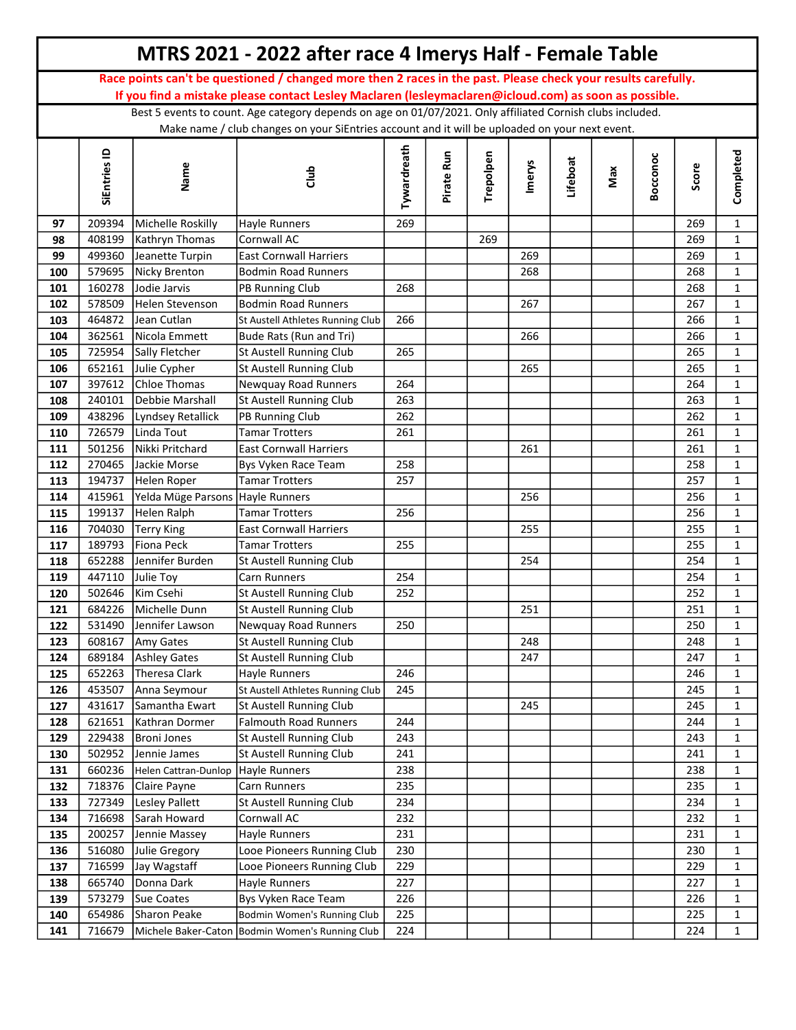|     |              |                      | MTRS 2021 - 2022 after race 4 Imerys Half - Female Table                                                                                                                                                               |             |            |           |        |          |     |          |       |              |
|-----|--------------|----------------------|------------------------------------------------------------------------------------------------------------------------------------------------------------------------------------------------------------------------|-------------|------------|-----------|--------|----------|-----|----------|-------|--------------|
|     |              |                      | Race points can't be questioned / changed more then 2 races in the past. Please check your results carefully.<br>If you find a mistake please contact Lesley Maclaren (lesleymaclaren@icloud.com) as soon as possible. |             |            |           |        |          |     |          |       |              |
|     |              |                      | Best 5 events to count. Age category depends on age on 01/07/2021. Only affiliated Cornish clubs included.                                                                                                             |             |            |           |        |          |     |          |       |              |
|     |              |                      | Make name / club changes on your SiEntries account and it will be uploaded on your next event.                                                                                                                         |             |            |           |        |          |     |          |       |              |
|     |              |                      |                                                                                                                                                                                                                        |             |            |           |        |          |     |          |       |              |
|     | SiEntries ID | Name                 | dub                                                                                                                                                                                                                    | Tywardreath | Pirate Run | Trepolpen | Imerys | Lifeboat | Max | Bocconoc | Score | Completed    |
| 97  | 209394       | Michelle Roskilly    | Hayle Runners                                                                                                                                                                                                          | 269         |            |           |        |          |     |          | 269   | $\mathbf{1}$ |
| 98  | 408199       | Kathryn Thomas       | Cornwall AC                                                                                                                                                                                                            |             |            | 269       |        |          |     |          | 269   | $\mathbf 1$  |
| 99  | 499360       | Jeanette Turpin      | <b>East Cornwall Harriers</b>                                                                                                                                                                                          |             |            |           | 269    |          |     |          | 269   | $\mathbf{1}$ |
| 100 | 579695       | Nicky Brenton        | <b>Bodmin Road Runners</b>                                                                                                                                                                                             |             |            |           | 268    |          |     |          | 268   | $\mathbf{1}$ |
| 101 | 160278       | Jodie Jarvis         | PB Running Club                                                                                                                                                                                                        | 268         |            |           |        |          |     |          | 268   | $\mathbf{1}$ |
| 102 | 578509       | Helen Stevenson      | <b>Bodmin Road Runners</b>                                                                                                                                                                                             |             |            |           | 267    |          |     |          | 267   | $\mathbf{1}$ |
| 103 | 464872       | Jean Cutlan          | St Austell Athletes Running Club                                                                                                                                                                                       | 266         |            |           |        |          |     |          | 266   | $\mathbf{1}$ |
| 104 | 362561       | Nicola Emmett        | Bude Rats (Run and Tri)                                                                                                                                                                                                |             |            |           | 266    |          |     |          | 266   | $\mathbf{1}$ |
| 105 | 725954       | Sally Fletcher       | St Austell Running Club                                                                                                                                                                                                | 265         |            |           |        |          |     |          | 265   | $\mathbf{1}$ |
| 106 | 652161       | Julie Cypher         | St Austell Running Club                                                                                                                                                                                                |             |            |           | 265    |          |     |          | 265   | $\mathbf{1}$ |
| 107 | 397612       | Chloe Thomas         | Newquay Road Runners                                                                                                                                                                                                   | 264         |            |           |        |          |     |          | 264   | $\mathbf{1}$ |
| 108 | 240101       | Debbie Marshall      | St Austell Running Club                                                                                                                                                                                                | 263         |            |           |        |          |     |          | 263   | $\mathbf{1}$ |
| 109 | 438296       | Lyndsey Retallick    | PB Running Club                                                                                                                                                                                                        | 262         |            |           |        |          |     |          | 262   | $\mathbf{1}$ |
| 110 | 726579       | Linda Tout           | <b>Tamar Trotters</b>                                                                                                                                                                                                  | 261         |            |           |        |          |     |          | 261   | $\mathbf{1}$ |
| 111 | 501256       | Nikki Pritchard      | <b>East Cornwall Harriers</b>                                                                                                                                                                                          |             |            |           | 261    |          |     |          | 261   | $\mathbf{1}$ |
| 112 | 270465       | Jackie Morse         | Bys Vyken Race Team                                                                                                                                                                                                    | 258         |            |           |        |          |     |          | 258   | $\mathbf{1}$ |
| 113 | 194737       | Helen Roper          | <b>Tamar Trotters</b>                                                                                                                                                                                                  | 257         |            |           |        |          |     |          | 257   | $\mathbf{1}$ |
| 114 | 415961       | Yelda Müge Parsons   | <b>Hayle Runners</b>                                                                                                                                                                                                   |             |            |           | 256    |          |     |          | 256   | $\mathbf{1}$ |
| 115 | 199137       | Helen Ralph          | Tamar Trotters                                                                                                                                                                                                         | 256         |            |           |        |          |     |          | 256   | $\mathbf{1}$ |
| 116 | 704030       | <b>Terry King</b>    | <b>East Cornwall Harriers</b>                                                                                                                                                                                          |             |            |           | 255    |          |     |          | 255   | $\mathbf{1}$ |
| 117 | 189793       | Fiona Peck           | <b>Tamar Trotters</b>                                                                                                                                                                                                  | 255         |            |           |        |          |     |          | 255   | $\mathbf{1}$ |
| 118 | 652288       | Jennifer Burden      | St Austell Running Club                                                                                                                                                                                                |             |            |           | 254    |          |     |          | 254   | $\mathbf{1}$ |
| 119 | 447110       | Julie Toy            | Carn Runners                                                                                                                                                                                                           | 254         |            |           |        |          |     |          | 254   | $\mathbf{1}$ |
| 120 | 502646       | Kim Csehi            | St Austell Running Club                                                                                                                                                                                                | 252         |            |           |        |          |     |          | 252   | $\mathbf{1}$ |
| 121 | 684226       | Michelle Dunn        | St Austell Running Club                                                                                                                                                                                                |             |            |           | 251    |          |     |          | 251   | $\mathbf{1}$ |
| 122 | 531490       | Jennifer Lawson      | Newquay Road Runners                                                                                                                                                                                                   | 250         |            |           |        |          |     |          | 250   | 1            |
| 123 | 608167       | Amy Gates            | St Austell Running Club                                                                                                                                                                                                |             |            |           | 248    |          |     |          | 248   | $\mathbf 1$  |
| 124 | 689184       | Ashley Gates         | St Austell Running Club                                                                                                                                                                                                |             |            |           | 247    |          |     |          | 247   | $\mathbf{1}$ |
| 125 | 652263       | Theresa Clark        | Hayle Runners                                                                                                                                                                                                          | 246         |            |           |        |          |     |          | 246   | $\mathbf{1}$ |
| 126 | 453507       | Anna Seymour         | St Austell Athletes Running Club                                                                                                                                                                                       | 245         |            |           |        |          |     |          | 245   | $\mathbf{1}$ |
| 127 | 431617       | Samantha Ewart       | St Austell Running Club                                                                                                                                                                                                |             |            |           | 245    |          |     |          | 245   | $\mathbf{1}$ |
| 128 | 621651       | Kathran Dormer       | <b>Falmouth Road Runners</b>                                                                                                                                                                                           | 244         |            |           |        |          |     |          | 244   | $\mathbf{1}$ |
| 129 | 229438       | Broni Jones          | St Austell Running Club                                                                                                                                                                                                | 243         |            |           |        |          |     |          | 243   | $\mathbf{1}$ |
| 130 | 502952       | Jennie James         | St Austell Running Club                                                                                                                                                                                                | 241         |            |           |        |          |     |          | 241   | $\mathbf{1}$ |
| 131 | 660236       | Helen Cattran-Dunlop | Hayle Runners                                                                                                                                                                                                          | 238         |            |           |        |          |     |          | 238   | $\mathbf{1}$ |
| 132 | 718376       | Claire Payne         | Carn Runners                                                                                                                                                                                                           | 235         |            |           |        |          |     |          | 235   | $\mathbf 1$  |
| 133 | 727349       | Lesley Pallett       | St Austell Running Club                                                                                                                                                                                                | 234         |            |           |        |          |     |          | 234   | $\mathbf 1$  |
| 134 | 716698       | Sarah Howard         | Cornwall AC                                                                                                                                                                                                            | 232         |            |           |        |          |     |          | 232   | $\mathbf{1}$ |
| 135 | 200257       | Jennie Massey        | Hayle Runners                                                                                                                                                                                                          | 231         |            |           |        |          |     |          | 231   | $\mathbf 1$  |
| 136 | 516080       | Julie Gregory        | Looe Pioneers Running Club                                                                                                                                                                                             | 230         |            |           |        |          |     |          | 230   | $\mathbf{1}$ |
| 137 | 716599       | Jay Wagstaff         | Looe Pioneers Running Club                                                                                                                                                                                             | 229         |            |           |        |          |     |          | 229   | $\mathbf{1}$ |
| 138 | 665740       | Donna Dark           | Hayle Runners                                                                                                                                                                                                          | 227         |            |           |        |          |     |          | 227   | $\mathbf{1}$ |
| 139 | 573279       | Sue Coates           | Bys Vyken Race Team                                                                                                                                                                                                    | 226         |            |           |        |          |     |          | 226   | $\mathbf{1}$ |
| 140 | 654986       | Sharon Peake         | Bodmin Women's Running Club                                                                                                                                                                                            | 225         |            |           |        |          |     |          | 225   | $\mathbf 1$  |
| 141 | 716679       |                      | Michele Baker-Caton Bodmin Women's Running Club                                                                                                                                                                        | 224         |            |           |        |          |     |          | 224   | $\mathbf{1}$ |
|     |              |                      |                                                                                                                                                                                                                        |             |            |           |        |          |     |          |       |              |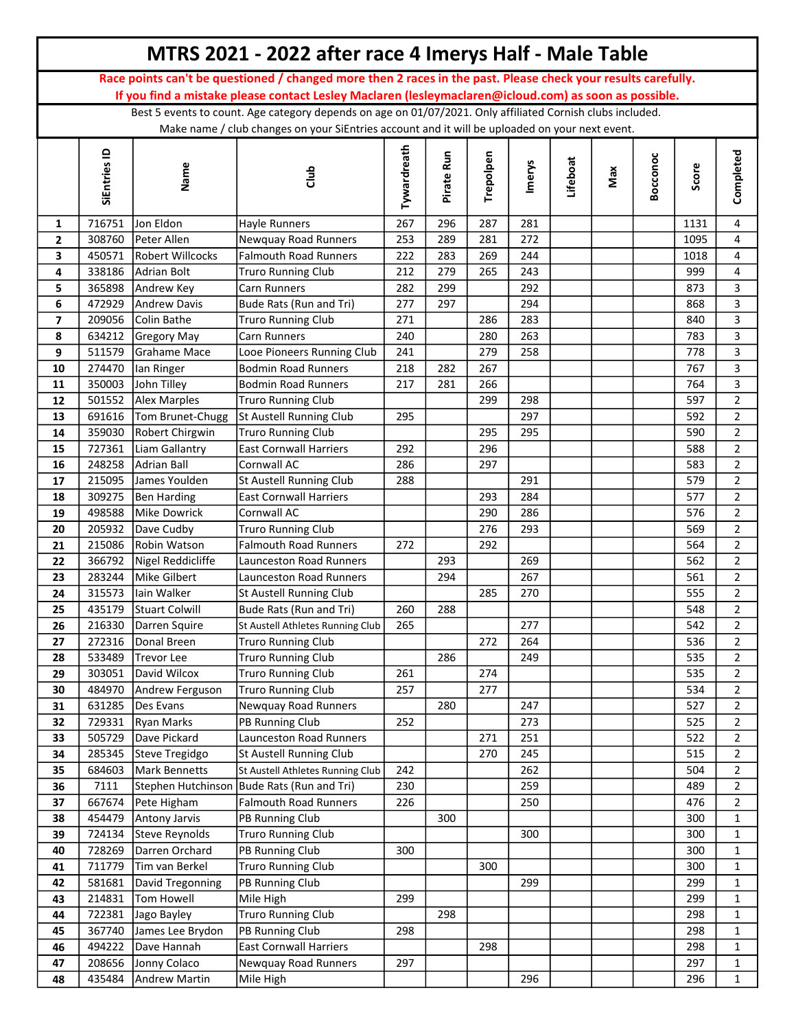|              |                  |                                  | MTRS 2021 - 2022 after race 4 Imerys Half - Male Table                                                        |             |            |            |            |          |     |          |            |                                  |
|--------------|------------------|----------------------------------|---------------------------------------------------------------------------------------------------------------|-------------|------------|------------|------------|----------|-----|----------|------------|----------------------------------|
|              |                  |                                  | Race points can't be questioned / changed more then 2 races in the past. Please check your results carefully. |             |            |            |            |          |     |          |            |                                  |
|              |                  |                                  | If you find a mistake please contact Lesley Maclaren (lesleymaclaren@icloud.com) as soon as possible.         |             |            |            |            |          |     |          |            |                                  |
|              |                  |                                  | Best 5 events to count. Age category depends on age on 01/07/2021. Only affiliated Cornish clubs included.    |             |            |            |            |          |     |          |            |                                  |
|              |                  |                                  | Make name / club changes on your SiEntries account and it will be uploaded on your next event.                |             |            |            |            |          |     |          |            |                                  |
|              | SiEntries ID     | Name                             | dub                                                                                                           | Tywardreath | Pirate Run | Trepolpen  | Imerys     | Lifeboat | Max | Bocconoc | Score      | Completed                        |
| 1            | 716751           | Jon Eldon                        | Hayle Runners                                                                                                 | 267         | 296        | 287        | 281        |          |     |          | 1131       | 4                                |
| $\mathbf{2}$ | 308760           | Peter Allen                      | Newquay Road Runners                                                                                          | 253         | 289        | 281        | 272        |          |     |          | 1095       | $\overline{4}$                   |
| 3            | 450571           | Robert Willcocks                 | <b>Falmouth Road Runners</b>                                                                                  | 222         | 283        | 269        | 244        |          |     |          | 1018       | 4                                |
| 4            | 338186           | Adrian Bolt                      | <b>Truro Running Club</b>                                                                                     | 212         | 279        | 265        | 243        |          |     |          | 999        | $\overline{4}$                   |
| 5            | 365898           | Andrew Key                       | Carn Runners                                                                                                  | 282         | 299        |            | 292        |          |     |          | 873        | 3                                |
| 6            | 472929           | Andrew Davis                     | Bude Rats (Run and Tri)                                                                                       | 277         | 297        |            | 294        |          |     |          | 868        | $\mathbf{3}$                     |
| 7            | 209056           | Colin Bathe                      | <b>Truro Running Club</b>                                                                                     | 271         |            | 286        | 283        |          |     |          | 840        | 3                                |
| 8            | 634212           | Gregory May                      | Carn Runners                                                                                                  | 240         |            | 280        | 263        |          |     |          | 783        | $\overline{3}$                   |
| 9            | 511579           | Grahame Mace                     | Looe Pioneers Running Club                                                                                    | 241         |            | 279        | 258        |          |     |          | 778        | 3                                |
| 10           | 274470           | lan Ringer                       | <b>Bodmin Road Runners</b>                                                                                    | 218         | 282        | 267        |            |          |     |          | 767        | $\overline{3}$                   |
| 11           | 350003           | John Tilley                      | <b>Bodmin Road Runners</b>                                                                                    | 217         | 281        | 266        |            |          |     |          | 764        | 3                                |
| $12\,$       | 501552           | Alex Marples                     | <b>Truro Running Club</b>                                                                                     |             |            | 299        | 298        |          |     |          | 597        | $\overline{2}$                   |
| 13           | 691616           | Tom Brunet-Chugg                 | St Austell Running Club                                                                                       | 295         |            |            | 297        |          |     |          | 592        | $\overline{2}$                   |
| 14           | 359030           | Robert Chirgwin                  | <b>Truro Running Club</b>                                                                                     |             |            | 295        | 295        |          |     |          | 590        | $\overline{2}$                   |
| 15           | 727361           | Liam Gallantry                   | <b>East Cornwall Harriers</b>                                                                                 | 292         |            | 296        |            |          |     |          | 588        | $\overline{2}$                   |
| 16           | 248258           | Adrian Ball                      | Cornwall AC                                                                                                   | 286         |            | 297        |            |          |     |          | 583        | $\overline{2}$                   |
| 17           | 215095           | James Youlden                    | St Austell Running Club                                                                                       | 288         |            |            | 291        |          |     |          | 579        | $\overline{2}$                   |
| 18<br>19     | 309275<br>498588 | Ben Harding<br>Mike Dowrick      | <b>East Cornwall Harriers</b><br>Cornwall AC                                                                  |             |            | 293<br>290 | 284<br>286 |          |     |          | 577<br>576 | $\overline{2}$<br>$\overline{2}$ |
| 20           | 205932           | Dave Cudby                       | <b>Truro Running Club</b>                                                                                     |             |            | 276        | 293        |          |     |          | 569        | $\overline{2}$                   |
| 21           | 215086           | Robin Watson                     | <b>Falmouth Road Runners</b>                                                                                  | 272         |            | 292        |            |          |     |          | 564        | $\overline{2}$                   |
| 22           | 366792           | Nigel Reddicliffe                | Launceston Road Runners                                                                                       |             | 293        |            | 269        |          |     |          | 562        | $\overline{2}$                   |
| 23           | 283244           | Mike Gilbert                     | Launceston Road Runners                                                                                       |             | 294        |            | 267        |          |     |          | 561        | $\overline{2}$                   |
| 24           | 315573           | lain Walker                      | St Austell Running Club                                                                                       |             |            | 285        | 270        |          |     |          | 555        | $\overline{2}$                   |
| 25           | 435179           | Stuart Colwill                   | Bude Rats (Run and Tri)                                                                                       | 260         | 288        |            |            |          |     |          | 548        | $\overline{2}$                   |
| 26           |                  | 216330 Darren Squire             | St Austell Athletes Running Club                                                                              | 265         |            |            | 277        |          |     |          | 542        | $\overline{2}$                   |
| 27           | 272316           | Donal Breen                      | <b>Truro Running Club</b>                                                                                     |             |            | 272        | 264        |          |     |          | 536        | $\overline{2}$                   |
| 28           | 533489           | Trevor Lee                       | <b>Truro Running Club</b>                                                                                     |             | 286        |            | 249        |          |     |          | 535        | $\overline{2}$                   |
| 29           | 303051           | David Wilcox                     | <b>Truro Running Club</b>                                                                                     | 261         |            | 274        |            |          |     |          | 535        | $\overline{2}$                   |
| 30           | 484970           | Andrew Ferguson                  | <b>Truro Running Club</b>                                                                                     | 257         |            | 277        |            |          |     |          | 534        | $\overline{2}$                   |
| 31           | 631285           | Des Evans                        | Newquay Road Runners                                                                                          |             | 280        |            | 247        |          |     |          | 527        | $\overline{2}$                   |
| 32           | 729331           | <b>Ryan Marks</b>                | PB Running Club                                                                                               | 252         |            |            | 273        |          |     |          | 525        | $\overline{2}$                   |
| 33           | 505729           | Dave Pickard                     | Launceston Road Runners                                                                                       |             |            | 271        | 251        |          |     |          | 522        | $\overline{2}$                   |
| 34           | 285345           | Steve Tregidgo                   | St Austell Running Club                                                                                       |             |            | 270        | 245        |          |     |          | 515        | $\overline{2}$                   |
| 35           | 684603           | Mark Bennetts                    | St Austell Athletes Running Club                                                                              | 242         |            |            | 262        |          |     |          | 504        | $\overline{2}$                   |
| 36           | 7111             | Stephen Hutchinson               | Bude Rats (Run and Tri)                                                                                       | 230         |            |            | 259        |          |     |          | 489        | $\overline{2}$                   |
| 37           | 667674           | Pete Higham                      | <b>Falmouth Road Runners</b>                                                                                  | 226         |            |            | 250        |          |     |          | 476        | $\overline{2}$                   |
| 38           | 454479           | Antony Jarvis                    | PB Running Club                                                                                               |             | 300        |            |            |          |     |          | 300        | $\mathbf{1}$                     |
| 39           | 724134           | Steve Reynolds                   | <b>Truro Running Club</b>                                                                                     |             |            |            | 300        |          |     |          | 300        | $\mathbf 1$                      |
| 40           | 728269           | Darren Orchard<br>Tim van Berkel | PB Running Club<br><b>Truro Running Club</b>                                                                  | 300         |            | 300        |            |          |     |          | 300<br>300 | $\mathbf{1}$                     |
| 41<br>42     | 711779<br>581681 | David Tregonning                 | PB Running Club                                                                                               |             |            |            | 299        |          |     |          | 299        | $\mathbf{1}$<br>$\mathbf{1}$     |
| 43           | 214831           | Tom Howell                       | Mile High                                                                                                     | 299         |            |            |            |          |     |          | 299        | $\mathbf{1}$                     |
| 44           | 722381           | Jago Bayley                      | <b>Truro Running Club</b>                                                                                     |             | 298        |            |            |          |     |          | 298        | $\mathbf{1}$                     |
| 45           | 367740           | James Lee Brydon                 | PB Running Club                                                                                               | 298         |            |            |            |          |     |          | 298        | $\mathbf{1}$                     |
| 46           | 494222           | Dave Hannah                      | <b>East Cornwall Harriers</b>                                                                                 |             |            | 298        |            |          |     |          | 298        | $\mathbf{1}$                     |
| 47           | 208656           | Jonny Colaco                     | Newquay Road Runners                                                                                          | 297         |            |            |            |          |     |          | 297        | $\mathbf{1}$                     |
| 48           | 435484           | Andrew Martin                    | Mile High                                                                                                     |             |            |            | 296        |          |     |          | 296        | $\mathbf{1}$                     |
|              |                  |                                  |                                                                                                               |             |            |            |            |          |     |          |            |                                  |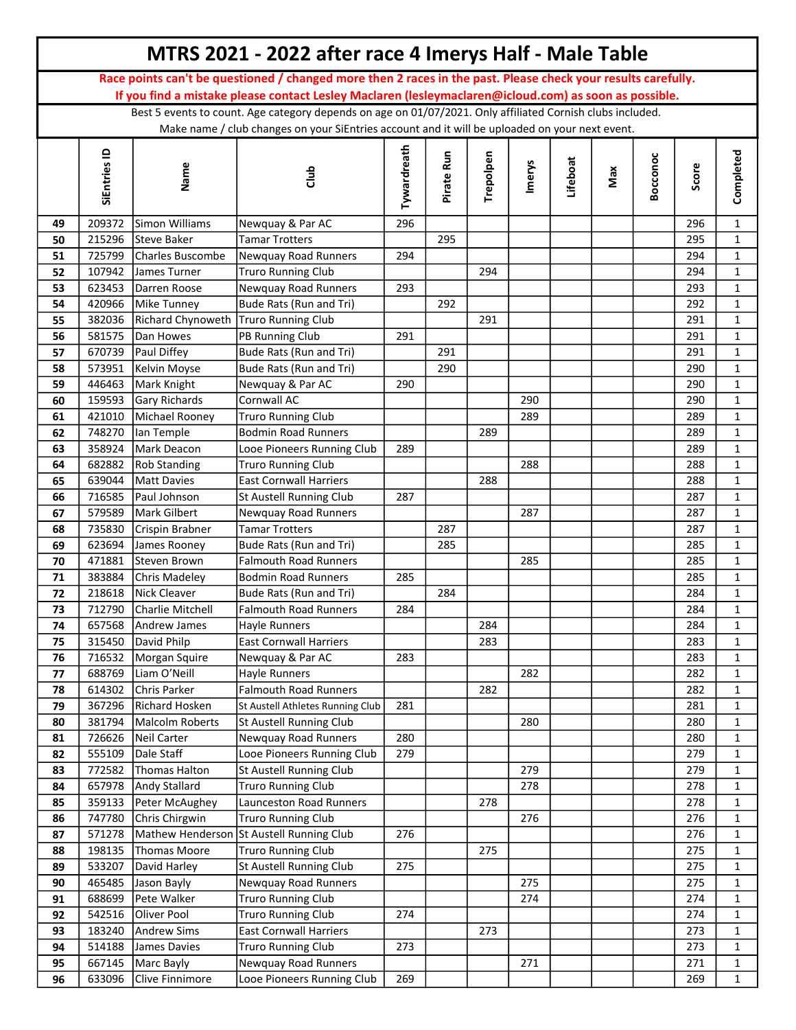|          |                  |                                      | MTRS 2021 - 2022 after race 4 Imerys Half - Male Table                                                        |             |            |           |        |          |     |          |            |                              |
|----------|------------------|--------------------------------------|---------------------------------------------------------------------------------------------------------------|-------------|------------|-----------|--------|----------|-----|----------|------------|------------------------------|
|          |                  |                                      | Race points can't be questioned / changed more then 2 races in the past. Please check your results carefully. |             |            |           |        |          |     |          |            |                              |
|          |                  |                                      | If you find a mistake please contact Lesley Maclaren (lesleymaclaren@icloud.com) as soon as possible.         |             |            |           |        |          |     |          |            |                              |
|          |                  |                                      | Best 5 events to count. Age category depends on age on 01/07/2021. Only affiliated Cornish clubs included.    |             |            |           |        |          |     |          |            |                              |
|          |                  |                                      | Make name / club changes on your SiEntries account and it will be uploaded on your next event.                |             |            |           |        |          |     |          |            |                              |
|          | SiEntries ID     | Name                                 | dub                                                                                                           | Tywardreath | Pirate Run | Trepolpen | Imerys | Lifeboat | Max | Bocconoc | Score      | Completed                    |
|          |                  |                                      |                                                                                                               |             |            |           |        |          |     |          |            |                              |
| 49       | 209372           | Simon Williams                       | Newquay & Par AC                                                                                              | 296         |            |           |        |          |     |          | 296        | $\mathbf{1}$                 |
| 50       | 215296           | Steve Baker                          | Tamar Trotters                                                                                                |             | 295        |           |        |          |     |          | 295        | $\mathbf{1}$                 |
| 51       | 725799           | Charles Buscombe                     | Newquay Road Runners                                                                                          | 294         |            |           |        |          |     |          | 294        | $\mathbf{1}$                 |
| 52       | 107942           | James Turner                         | <b>Truro Running Club</b>                                                                                     |             |            | 294       |        |          |     |          | 294        | $\mathbf{1}$                 |
| 53       | 623453           | Darren Roose                         | <b>Newquay Road Runners</b>                                                                                   | 293         |            |           |        |          |     |          | 293        | $\mathbf{1}$                 |
| 54       | 420966           | Mike Tunney                          | Bude Rats (Run and Tri)                                                                                       |             | 292        |           |        |          |     |          | 292        | $\mathbf{1}$                 |
| 55       | 382036           | Richard Chynoweth Truro Running Club |                                                                                                               |             |            | 291       |        |          |     |          | 291        | $\mathbf{1}$                 |
| 56       | 581575           | Dan Howes                            | PB Running Club                                                                                               | 291         |            |           |        |          |     |          | 291        | $\mathbf{1}$                 |
| 57       | 670739           | Paul Diffey                          | Bude Rats (Run and Tri)                                                                                       |             | 291        |           |        |          |     |          | 291        | $\mathbf{1}$                 |
| 58       | 573951           | Kelvin Moyse                         | Bude Rats (Run and Tri)                                                                                       |             | 290        |           |        |          |     |          | 290        | $\mathbf{1}$                 |
| 59       | 446463           | Mark Knight                          | Newquay & Par AC                                                                                              | 290         |            |           |        |          |     |          | 290        | $\mathbf{1}$                 |
| 60       | 159593           | Gary Richards                        | Cornwall AC                                                                                                   |             |            |           | 290    |          |     |          | 290        | $\mathbf{1}$                 |
| 61       | 421010           | Michael Rooney                       | <b>Truro Running Club</b>                                                                                     |             |            |           | 289    |          |     |          | 289        | $\mathbf{1}$                 |
| 62       | 748270           | lan Temple                           | <b>Bodmin Road Runners</b>                                                                                    |             |            | 289       |        |          |     |          | 289        | $\mathbf{1}$                 |
| 63       | 358924<br>682882 | Mark Deacon                          | Looe Pioneers Running Club                                                                                    | 289         |            |           | 288    |          |     |          | 289<br>288 | $\mathbf{1}$<br>$\mathbf{1}$ |
| 64<br>65 | 639044           | <b>Rob Standing</b><br>Matt Davies   | <b>Truro Running Club</b><br><b>East Cornwall Harriers</b>                                                    |             |            | 288       |        |          |     |          | 288        | $\mathbf{1}$                 |
| 66       | 716585           | Paul Johnson                         | <b>St Austell Running Club</b>                                                                                | 287         |            |           |        |          |     |          | 287        | $\mathbf{1}$                 |
| 67       | 579589           | Mark Gilbert                         | Newquay Road Runners                                                                                          |             |            |           | 287    |          |     |          | 287        | $\mathbf{1}$                 |
| 68       | 735830           | Crispin Brabner                      | Tamar Trotters                                                                                                |             | 287        |           |        |          |     |          | 287        | $\mathbf{1}$                 |
| 69       | 623694           | James Rooney                         | Bude Rats (Run and Tri)                                                                                       |             | 285        |           |        |          |     |          | 285        | $\mathbf{1}$                 |
| 70       | 471881           | Steven Brown                         | <b>Falmouth Road Runners</b>                                                                                  |             |            |           | 285    |          |     |          | 285        | $\mathbf{1}$                 |
| 71       | 383884           | Chris Madeley                        | <b>Bodmin Road Runners</b>                                                                                    | 285         |            |           |        |          |     |          | 285        | $\mathbf{1}$                 |
| 72       | 218618           | Nick Cleaver                         | Bude Rats (Run and Tri)                                                                                       |             | 284        |           |        |          |     |          | 284        | $\mathbf{1}$                 |
| 73       | 712790           | Charlie Mitchell                     | <b>Falmouth Road Runners</b>                                                                                  | 284         |            |           |        |          |     |          | 284        | $\mathbf{1}$                 |
| 74       | 657568           | Andrew James                         | Hayle Runners                                                                                                 |             |            | 284       |        |          |     |          | 284        | 1                            |
| 75       | 315450           | David Philp                          | <b>East Cornwall Harriers</b>                                                                                 |             |            | 283       |        |          |     |          | 283        | $\mathbf{1}$                 |
| 76       | 716532           | Morgan Squire                        | Newquay & Par AC                                                                                              | 283         |            |           |        |          |     |          | 283        | $\mathbf{1}$                 |
| 77       | 688769           | Liam O'Neill                         | Hayle Runners                                                                                                 |             |            |           | 282    |          |     |          | 282        | $\mathbf{1}$                 |
| 78       | 614302           | Chris Parker                         | <b>Falmouth Road Runners</b>                                                                                  |             |            | 282       |        |          |     |          | 282        | $\mathbf{1}$                 |
| 79       | 367296           | Richard Hosken                       | St Austell Athletes Running Club                                                                              | 281         |            |           |        |          |     |          | 281        | $\mathbf{1}$                 |
| 80       | 381794           | Malcolm Roberts                      | St Austell Running Club                                                                                       |             |            |           | 280    |          |     |          | 280        | $\mathbf{1}$                 |
| 81       | 726626           | Neil Carter                          | <b>Newquay Road Runners</b>                                                                                   | 280         |            |           |        |          |     |          | 280        | $\mathbf{1}$                 |
| 82       | 555109           | Dale Staff                           | Looe Pioneers Running Club                                                                                    | 279         |            |           |        |          |     |          | 279        | $\mathbf{1}$                 |
| 83       | 772582           | Thomas Halton                        | St Austell Running Club                                                                                       |             |            |           | 279    |          |     |          | 279        | $\mathbf{1}$                 |
| 84       | 657978           | Andy Stallard                        | <b>Truro Running Club</b>                                                                                     |             |            |           | 278    |          |     |          | 278        | $\mathbf 1$                  |
| 85       | 359133           | Peter McAughey                       | Launceston Road Runners                                                                                       |             |            | 278       |        |          |     |          | 278        | $\mathbf{1}$                 |
| 86       | 747780           | Chris Chirgwin                       | <b>Truro Running Club</b>                                                                                     |             |            |           | 276    |          |     |          | 276        | $\mathbf 1$                  |
| 87       | 571278           | Mathew Henderson                     | St Austell Running Club                                                                                       | 276         |            |           |        |          |     |          | 276        | $\mathbf{1}$                 |
| 88       | 198135           | Thomas Moore                         | <b>Truro Running Club</b>                                                                                     |             |            | 275       |        |          |     |          | 275        | $\mathbf{1}$                 |
| 89       | 533207           | David Harley                         | St Austell Running Club                                                                                       | 275         |            |           |        |          |     |          | 275        | $\mathbf{1}$                 |
| 90       | 465485           | Jason Bayly                          | Newquay Road Runners                                                                                          |             |            |           | 275    |          |     |          | 275        | $\mathbf{1}$                 |
| 91       | 688699           | Pete Walker                          | <b>Truro Running Club</b>                                                                                     |             |            |           | 274    |          |     |          | 274        | $\mathbf 1$                  |
| 92       | 542516           | Oliver Pool                          | <b>Truro Running Club</b>                                                                                     | 274         |            |           |        |          |     |          | 274        | $\mathbf{1}$                 |
| 93       | 183240           | Andrew Sims                          | <b>East Cornwall Harriers</b>                                                                                 |             |            | 273       |        |          |     |          | 273        | $\mathbf{1}$                 |
| 94       | 514188           | James Davies                         | <b>Truro Running Club</b>                                                                                     | 273         |            |           |        |          |     |          | 273        | $\mathbf{1}$                 |
| 95       | 667145           | Marc Bayly                           | Newquay Road Runners                                                                                          |             |            |           | 271    |          |     |          | 271        | $\mathbf{1}$                 |
| 96       | 633096           | Clive Finnimore                      | Looe Pioneers Running Club                                                                                    | 269         |            |           |        |          |     |          | 269        | $\mathbf{1}$                 |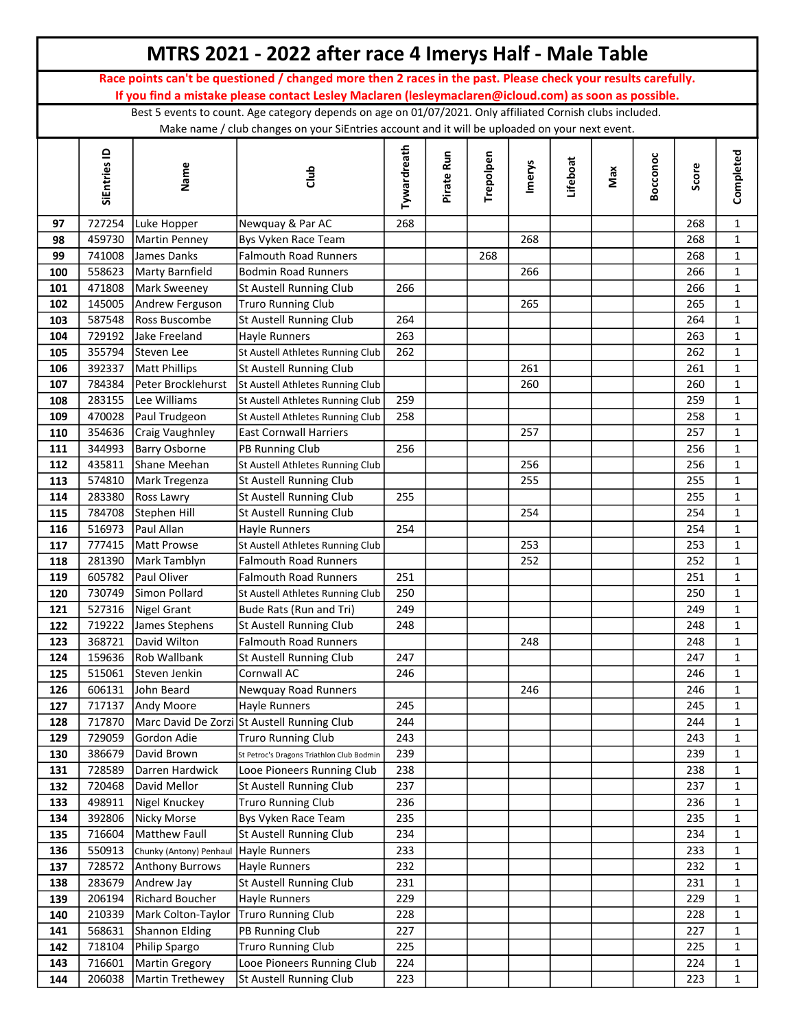|            |                  |                                       | MTRS 2021 - 2022 after race 4 Imerys Half - Male Table                                                        |             |            |           |               |          |     |          |            |                              |
|------------|------------------|---------------------------------------|---------------------------------------------------------------------------------------------------------------|-------------|------------|-----------|---------------|----------|-----|----------|------------|------------------------------|
|            |                  |                                       | Race points can't be questioned / changed more then 2 races in the past. Please check your results carefully. |             |            |           |               |          |     |          |            |                              |
|            |                  |                                       | If you find a mistake please contact Lesley Maclaren (lesleymaclaren@icloud.com) as soon as possible.         |             |            |           |               |          |     |          |            |                              |
|            |                  |                                       | Best 5 events to count. Age category depends on age on 01/07/2021. Only affiliated Cornish clubs included.    |             |            |           |               |          |     |          |            |                              |
|            |                  |                                       | Make name / club changes on your SiEntries account and it will be uploaded on your next event.                |             |            |           |               |          |     |          |            |                              |
|            | SiEntries ID     | Name                                  | dub                                                                                                           | Tywardreath | Pirate Run | Trepolpen | <b>Imerys</b> | Lifeboat | Max | Bocconoc | Score      | Completed                    |
|            |                  |                                       |                                                                                                               |             |            |           |               |          |     |          |            |                              |
| 97         | 727254           | Luke Hopper                           | Newquay & Par AC                                                                                              | 268         |            |           |               |          |     |          | 268        | $\mathbf{1}$                 |
| 98         | 459730           | Martin Penney                         | Bys Vyken Race Team                                                                                           |             |            |           | 268           |          |     |          | 268        | $\mathbf{1}$                 |
| 99         | 741008           | James Danks                           | Falmouth Road Runners                                                                                         |             |            | 268       |               |          |     |          | 268        | $\mathbf{1}$                 |
| 100        | 558623           | Marty Barnfield                       | Bodmin Road Runners                                                                                           |             |            |           | 266           |          |     |          | 266        | $\mathbf{1}$                 |
| 101        | 471808           | Mark Sweeney                          | St Austell Running Club                                                                                       | 266         |            |           |               |          |     |          | 266        | $\mathbf{1}$                 |
| 102        | 145005           | Andrew Ferguson                       | <b>Truro Running Club</b>                                                                                     |             |            |           | 265           |          |     |          | 265        | $\mathbf{1}$                 |
| 103        | 587548           | Ross Buscombe                         | St Austell Running Club                                                                                       | 264         |            |           |               |          |     |          | 264        | $\mathbf{1}$                 |
| 104        | 729192           | Jake Freeland                         | Hayle Runners                                                                                                 | 263         |            |           |               |          |     |          | 263        | $\mathbf{1}$                 |
| 105        | 355794           | Steven Lee                            | St Austell Athletes Running Club                                                                              | 262         |            |           |               |          |     |          | 262        | $\mathbf{1}$                 |
| 106        | 392337           | Matt Phillips                         | St Austell Running Club                                                                                       |             |            |           | 261           |          |     |          | 261        | $\mathbf{1}$                 |
| 107        | 784384           | Peter Brocklehurst                    | St Austell Athletes Running Club                                                                              |             |            |           | 260           |          |     |          | 260        | $\mathbf{1}$                 |
| 108        | 283155           | Lee Williams                          | St Austell Athletes Running Club                                                                              | 259         |            |           |               |          |     |          | 259        | $\mathbf{1}$                 |
| 109        | 470028           | Paul Trudgeon                         | St Austell Athletes Running Club                                                                              | 258         |            |           |               |          |     |          | 258        | $\mathbf{1}$                 |
| 110        | 354636           | Craig Vaughnley                       | <b>East Cornwall Harriers</b>                                                                                 |             |            |           | 257           |          |     |          | 257        | $\mathbf{1}$                 |
| 111        | 344993           | Barry Osborne                         | PB Running Club                                                                                               | 256         |            |           |               |          |     |          | 256        | $\mathbf{1}$                 |
| 112        | 435811           | Shane Meehan                          | St Austell Athletes Running Club                                                                              |             |            |           | 256           |          |     |          | 256        | $\mathbf{1}$                 |
| 113        | 574810           | Mark Tregenza                         | St Austell Running Club                                                                                       |             |            |           | 255           |          |     |          | 255        | $\mathbf{1}$                 |
| 114        | 283380           | <b>Ross Lawry</b>                     | St Austell Running Club                                                                                       | 255         |            |           |               |          |     |          | 255        | $\mathbf{1}$                 |
| 115        | 784708           | Stephen Hill                          | St Austell Running Club                                                                                       |             |            |           | 254           |          |     |          | 254        | $\mathbf{1}$                 |
| 116<br>117 | 516973<br>777415 | Paul Allan<br><b>Matt Prowse</b>      | Hayle Runners                                                                                                 | 254         |            |           | 253           |          |     |          | 254<br>253 | $\mathbf{1}$<br>$\mathbf{1}$ |
| 118        | 281390           | Mark Tamblyn                          | St Austell Athletes Running Club<br><b>Falmouth Road Runners</b>                                              |             |            |           | 252           |          |     |          | 252        | $\mathbf{1}$                 |
| 119        | 605782           | Paul Oliver                           | <b>Falmouth Road Runners</b>                                                                                  | 251         |            |           |               |          |     |          | 251        | $\mathbf{1}$                 |
| 120        | 730749           | Simon Pollard                         | St Austell Athletes Running Club                                                                              | 250         |            |           |               |          |     |          | 250        | $\mathbf{1}$                 |
| 121        | 527316           | Nigel Grant                           | Bude Rats (Run and Tri)                                                                                       | 249         |            |           |               |          |     |          | 249        | $\mathbf{1}$                 |
| 122        |                  | 719222 James Stephens                 | St Austell Running Club                                                                                       | 248         |            |           |               |          |     |          | 248        | 1                            |
| 123        | 368721           | David Wilton                          | Falmouth Road Runners                                                                                         |             |            |           | 248           |          |     |          | 248        | $\mathbf{1}$                 |
| 124        | 159636           | Rob Wallbank                          | St Austell Running Club                                                                                       | 247         |            |           |               |          |     |          | 247        | $\mathbf{1}$                 |
| 125        | 515061           | Steven Jenkin                         | Cornwall AC                                                                                                   | 246         |            |           |               |          |     |          | 246        | $\mathbf{1}$                 |
| 126        | 606131           | John Beard                            | Newquay Road Runners                                                                                          |             |            |           | 246           |          |     |          | 246        | $\mathbf{1}$                 |
| 127        | 717137           | Andy Moore                            | Hayle Runners                                                                                                 | 245         |            |           |               |          |     |          | 245        | $\mathbf{1}$                 |
| 128        | 717870           |                                       | Marc David De Zorzi St Austell Running Club                                                                   | 244         |            |           |               |          |     |          | 244        | $\mathbf{1}$                 |
| 129        | 729059           | Gordon Adie                           | <b>Truro Running Club</b>                                                                                     | 243         |            |           |               |          |     |          | 243        | $\mathbf{1}$                 |
| 130        | 386679           | David Brown                           | St Petroc's Dragons Triathlon Club Bodmin                                                                     | 239         |            |           |               |          |     |          | 239        | $\mathbf{1}$                 |
| 131        | 728589           | Darren Hardwick                       | Looe Pioneers Running Club                                                                                    | 238         |            |           |               |          |     |          | 238        | $\mathbf{1}$                 |
| 132        | 720468           | David Mellor                          | St Austell Running Club                                                                                       | 237         |            |           |               |          |     |          | 237        | $\mathbf{1}$                 |
| 133        | 498911           | Nigel Knuckey                         | <b>Truro Running Club</b>                                                                                     | 236         |            |           |               |          |     |          | 236        | $\mathbf{1}$                 |
| 134        | 392806           | <b>Nicky Morse</b>                    | Bys Vyken Race Team                                                                                           | 235         |            |           |               |          |     |          | 235        | $\mathbf{1}$                 |
| 135        | 716604           | <b>Matthew Faull</b>                  | St Austell Running Club                                                                                       | 234         |            |           |               |          |     |          | 234        | $\mathbf{1}$                 |
| 136        | 550913           | Chunky (Antony) Penhaul Hayle Runners |                                                                                                               | 233         |            |           |               |          |     |          | 233        | $\mathbf{1}$                 |
| 137        | 728572           | Anthony Burrows                       | Hayle Runners                                                                                                 | 232         |            |           |               |          |     |          | 232        | $\mathbf 1$                  |
| 138        | 283679           | Andrew Jay                            | St Austell Running Club                                                                                       | 231         |            |           |               |          |     |          | 231        | $\mathbf{1}$                 |
| 139        | 206194           | Richard Boucher                       | Hayle Runners                                                                                                 | 229         |            |           |               |          |     |          | 229        | $\mathbf 1$                  |
| 140        | 210339           | Mark Colton-Taylor                    | Truro Running Club                                                                                            | 228         |            |           |               |          |     |          | 228        | $\mathbf{1}$                 |
| 141        | 568631           | Shannon Elding                        | PB Running Club                                                                                               | 227         |            |           |               |          |     |          | 227        | $\mathbf{1}$                 |
| 142<br>143 | 718104<br>716601 | Philip Spargo                         | <b>Truro Running Club</b>                                                                                     | 225<br>224  |            |           |               |          |     |          | 225<br>224 | $\mathbf{1}$                 |
| 144        | 206038           | Martin Gregory<br>Martin Trethewey    | Looe Pioneers Running Club<br>St Austell Running Club                                                         | 223         |            |           |               |          |     |          | 223        | $\mathbf{1}$<br>$\mathbf{1}$ |
|            |                  |                                       |                                                                                                               |             |            |           |               |          |     |          |            |                              |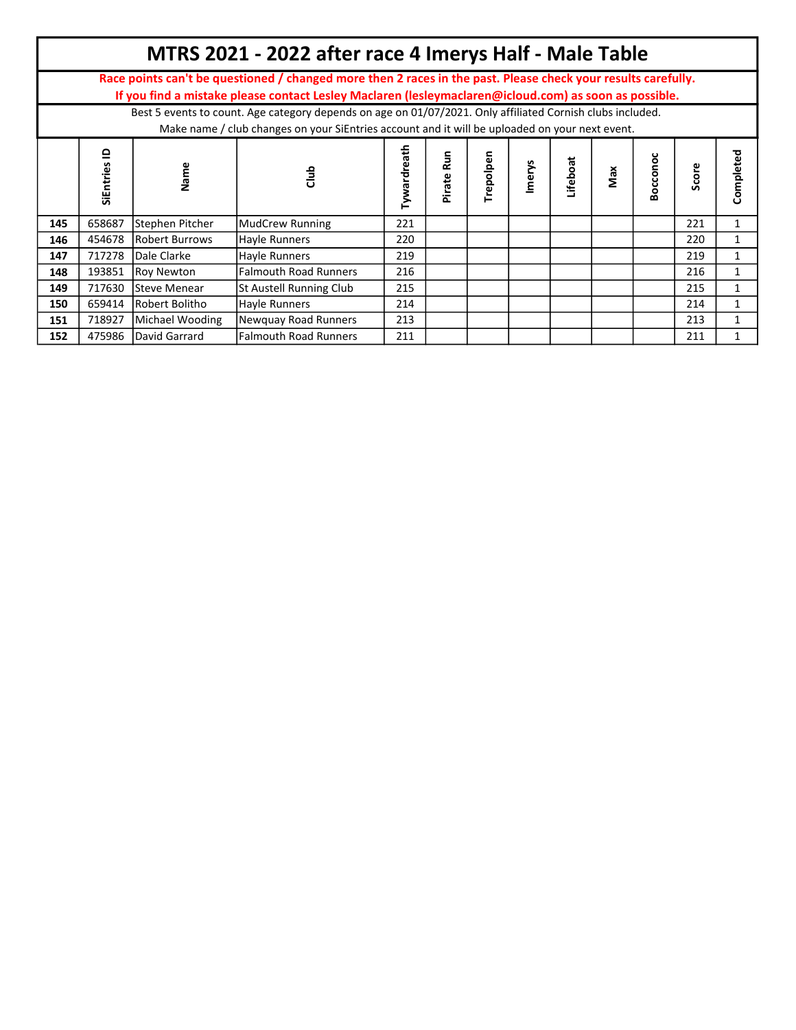|     |                           |                                                                                                                                                                                                              | MTRS 2021 - 2022 after race 4 Imerys Half - Male Table                                                                                                                                                                 |                   |             |           |        |          |     |         |       |              |  |  |  |
|-----|---------------------------|--------------------------------------------------------------------------------------------------------------------------------------------------------------------------------------------------------------|------------------------------------------------------------------------------------------------------------------------------------------------------------------------------------------------------------------------|-------------------|-------------|-----------|--------|----------|-----|---------|-------|--------------|--|--|--|
|     |                           |                                                                                                                                                                                                              | Race points can't be questioned / changed more then 2 races in the past. Please check your results carefully.<br>If you find a mistake please contact Lesley Maclaren (lesleymaclaren@icloud.com) as soon as possible. |                   |             |           |        |          |     |         |       |              |  |  |  |
|     |                           | Best 5 events to count. Age category depends on age on 01/07/2021. Only affiliated Cornish clubs included.<br>Make name / club changes on your SiEntries account and it will be uploaded on your next event. |                                                                                                                                                                                                                        |                   |             |           |        |          |     |         |       |              |  |  |  |
|     | ≘<br><b>S</b><br>SiEntrie | Name                                                                                                                                                                                                         | 름                                                                                                                                                                                                                      | ath<br>õ<br>ardre | Run<br>rate | Trepolpen | lmery: | .ifeboat | Max | Boccono | Score | Completed    |  |  |  |
| 145 | 658687                    | Stephen Pitcher                                                                                                                                                                                              | MudCrew Running                                                                                                                                                                                                        | 221               |             |           |        |          |     |         | 221   |              |  |  |  |
| 146 | 454678                    | Robert Burrows                                                                                                                                                                                               | Hayle Runners                                                                                                                                                                                                          | 220               |             |           |        |          |     |         | 220   |              |  |  |  |
| 147 | 717278                    | Dale Clarke                                                                                                                                                                                                  | Hayle Runners                                                                                                                                                                                                          | 219               |             |           |        |          |     |         | 219   | 1            |  |  |  |
| 148 | 193851                    | Roy Newton                                                                                                                                                                                                   | <b>Falmouth Road Runners</b>                                                                                                                                                                                           | 216               |             |           |        |          |     |         | 216   |              |  |  |  |
| 149 | 717630                    | Steve Menear                                                                                                                                                                                                 | St Austell Running Club                                                                                                                                                                                                | 215               |             |           |        |          |     |         | 215   | $\mathbf{1}$ |  |  |  |
| 150 | 659414                    | Robert Bolitho                                                                                                                                                                                               | Hayle Runners                                                                                                                                                                                                          | 214               |             |           |        |          |     |         | 214   |              |  |  |  |
| 151 | 718927                    | Michael Wooding                                                                                                                                                                                              | Newquay Road Runners                                                                                                                                                                                                   | 213               |             |           |        |          |     |         | 213   |              |  |  |  |
| 152 | 475986                    | David Garrard                                                                                                                                                                                                | lFalmouth Road Runners                                                                                                                                                                                                 | 211               |             |           |        |          |     |         | 211   |              |  |  |  |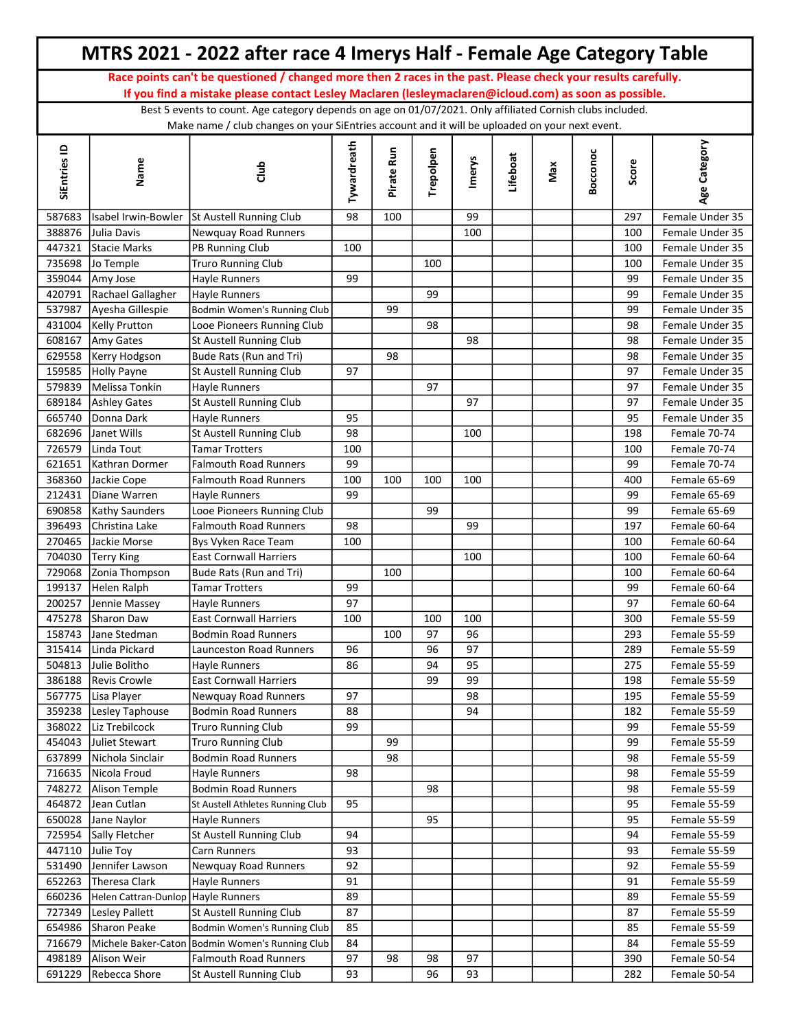|                  |                                    | MTRS 2021 - 2022 after race 4 Imerys Half - Female Age Category Table                                                                                                                                        |             |            |           |        |          |     |          |            |                              |
|------------------|------------------------------------|--------------------------------------------------------------------------------------------------------------------------------------------------------------------------------------------------------------|-------------|------------|-----------|--------|----------|-----|----------|------------|------------------------------|
|                  |                                    | Race points can't be questioned / changed more then 2 races in the past. Please check your results carefully.                                                                                                |             |            |           |        |          |     |          |            |                              |
|                  |                                    | If you find a mistake please contact Lesley Maclaren (lesleymaclaren@icloud.com) as soon as possible.                                                                                                        |             |            |           |        |          |     |          |            |                              |
|                  |                                    | Best 5 events to count. Age category depends on age on 01/07/2021. Only affiliated Cornish clubs included.<br>Make name / club changes on your SiEntries account and it will be uploaded on your next event. |             |            |           |        |          |     |          |            |                              |
| SiEntries ID     | Name                               | dub                                                                                                                                                                                                          | Tywardreath | Pirate Run | Trepolpen | Imerys | Lifeboat | Max | Bocconoc | Score      | Age Category                 |
| 587683           |                                    | Isabel Irwin-Bowler St Austell Running Club                                                                                                                                                                  | 98          | 100        |           | 99     |          |     |          | 297        | Female Under 35              |
| 388876           | Julia Davis                        | Newquay Road Runners                                                                                                                                                                                         |             |            |           | 100    |          |     |          | 100        | Female Under 35              |
| 447321           | Stacie Marks                       | PB Running Club                                                                                                                                                                                              | 100         |            |           |        |          |     |          | 100        | Female Under 35              |
| 735698           | Jo Temple                          | <b>Truro Running Club</b>                                                                                                                                                                                    |             |            | 100       |        |          |     |          | 100        | Female Under 35              |
| 359044           | Amy Jose                           | Hayle Runners                                                                                                                                                                                                | 99          |            |           |        |          |     |          | 99         | Female Under 35              |
| 420791           | Rachael Gallagher                  | Hayle Runners                                                                                                                                                                                                |             |            | 99        |        |          |     |          | 99         | Female Under 35              |
| 537987           | Ayesha Gillespie                   | Bodmin Women's Running Club                                                                                                                                                                                  |             | 99         |           |        |          |     |          | 99         | Female Under 35              |
| 431004           | <b>Kelly Prutton</b>               | Looe Pioneers Running Club                                                                                                                                                                                   |             |            | 98        |        |          |     |          | 98         | Female Under 35              |
| 608167           | Amy Gates                          | St Austell Running Club                                                                                                                                                                                      |             |            |           | 98     |          |     |          | 98         | Female Under 35              |
| 629558           | Kerry Hodgson                      | Bude Rats (Run and Tri)                                                                                                                                                                                      |             | 98         |           |        |          |     |          | 98         | Female Under 35              |
| 159585           | <b>Holly Payne</b>                 | St Austell Running Club                                                                                                                                                                                      | 97          |            |           |        |          |     |          | 97         | Female Under 35              |
| 579839           | Melissa Tonkin                     | Hayle Runners                                                                                                                                                                                                |             |            | 97        |        |          |     |          | 97         | Female Under 35              |
| 689184           | <b>Ashley Gates</b>                | St Austell Running Club                                                                                                                                                                                      |             |            |           | 97     |          |     |          | 97         | Female Under 35              |
| 665740           | Donna Dark                         | Hayle Runners                                                                                                                                                                                                | 95          |            |           |        |          |     |          | 95         | Female Under 35              |
| 682696           | Janet Wills                        | St Austell Running Club                                                                                                                                                                                      | 98          |            |           | 100    |          |     |          | 198        | Female 70-74                 |
| 726579           | Linda Tout                         | <b>Tamar Trotters</b>                                                                                                                                                                                        | 100         |            |           |        |          |     |          | 100        | Female 70-74                 |
| 621651           | Kathran Dormer                     | <b>Falmouth Road Runners</b>                                                                                                                                                                                 | 99          |            |           |        |          |     |          | 99         | Female 70-74                 |
| 368360           | Jackie Cope                        | <b>Falmouth Road Runners</b>                                                                                                                                                                                 | 100         | 100        | 100       | 100    |          |     |          | 400        | Female 65-69                 |
| 212431           | Diane Warren                       | Hayle Runners                                                                                                                                                                                                | 99          |            |           |        |          |     |          | 99         | Female 65-69                 |
| 690858           | <b>Kathy Saunders</b>              | Looe Pioneers Running Club                                                                                                                                                                                   |             |            | 99        |        |          |     |          | 99         | Female 65-69                 |
| 396493           | Christina Lake<br>Jackie Morse     | <b>Falmouth Road Runners</b>                                                                                                                                                                                 | 98          |            |           | 99     |          |     |          | 197        | Female 60-64<br>Female 60-64 |
| 270465<br>704030 |                                    | Bys Vyken Race Team<br><b>East Cornwall Harriers</b>                                                                                                                                                         | 100         |            |           | 100    |          |     |          | 100<br>100 | Female 60-64                 |
| 729068           | Terry King<br>Zonia Thompson       | Bude Rats (Run and Tri)                                                                                                                                                                                      |             | 100        |           |        |          |     |          | 100        | Female 60-64                 |
| 199137           | Helen Ralph                        | <b>Tamar Trotters</b>                                                                                                                                                                                        | 99          |            |           |        |          |     |          | 99         | Female 60-64                 |
| 200257           | Jennie Massey                      | Hayle Runners                                                                                                                                                                                                | 97          |            |           |        |          |     |          | 97         | Female 60-64                 |
|                  | 475278 Sharon Daw                  | <b>East Cornwall Harriers</b>                                                                                                                                                                                | $100\,$     |            | 100       | 100    |          |     |          | 300        | Female 55-59                 |
| 158743           | Jane Stedman                       | <b>Bodmin Road Runners</b>                                                                                                                                                                                   |             | 100        | 97        | 96     |          |     |          | 293        | Female 55-59                 |
| 315414           | Linda Pickard                      | Launceston Road Runners                                                                                                                                                                                      | 96          |            | 96        | 97     |          |     |          | 289        | Female 55-59                 |
| 504813           | Julie Bolitho                      | Hayle Runners                                                                                                                                                                                                | 86          |            | 94        | 95     |          |     |          | 275        | Female 55-59                 |
|                  | 386188 Revis Crowle                | <b>East Cornwall Harriers</b>                                                                                                                                                                                |             |            | 99        | 99     |          |     |          | 198        | Female 55-59                 |
| 567775           | Lisa Player                        | Newquay Road Runners                                                                                                                                                                                         | 97          |            |           | 98     |          |     |          | 195        | Female 55-59                 |
| 359238           | Lesley Taphouse                    | <b>Bodmin Road Runners</b>                                                                                                                                                                                   | 88          |            |           | 94     |          |     |          | 182        | Female 55-59                 |
| 368022           | Liz Trebilcock                     | <b>Truro Running Club</b>                                                                                                                                                                                    | 99          |            |           |        |          |     |          | 99         | Female 55-59                 |
| 454043           | Juliet Stewart                     | <b>Truro Running Club</b>                                                                                                                                                                                    |             | 99         |           |        |          |     |          | 99         | Female 55-59                 |
| 637899           | Nichola Sinclair                   | <b>Bodmin Road Runners</b>                                                                                                                                                                                   |             | 98         |           |        |          |     |          | 98         | Female 55-59                 |
| 716635           | Nicola Froud                       | Hayle Runners                                                                                                                                                                                                | 98          |            |           |        |          |     |          | 98         | Female 55-59                 |
| 748272           | Alison Temple                      | <b>Bodmin Road Runners</b>                                                                                                                                                                                   |             |            | 98        |        |          |     |          | 98         | Female 55-59                 |
| 464872           | Jean Cutlan                        | St Austell Athletes Running Club                                                                                                                                                                             | 95          |            |           |        |          |     |          | 95         | Female 55-59                 |
| 650028           | Jane Naylor                        | Hayle Runners                                                                                                                                                                                                |             |            | 95        |        |          |     |          | 95         | Female 55-59                 |
| 725954           | Sally Fletcher                     | St Austell Running Club                                                                                                                                                                                      | 94          |            |           |        |          |     |          | 94         | Female 55-59                 |
| 447110           | Julie Toy                          | Carn Runners                                                                                                                                                                                                 | 93          |            |           |        |          |     |          | 93         | Female 55-59                 |
| 531490           | Jennifer Lawson                    | Newquay Road Runners                                                                                                                                                                                         | 92          |            |           |        |          |     |          | 92         | Female 55-59                 |
| 652263           | Theresa Clark                      | Hayle Runners                                                                                                                                                                                                | 91          |            |           |        |          |     |          | 91         | Female 55-59                 |
| 660236           | Helen Cattran-Dunlop Hayle Runners |                                                                                                                                                                                                              | 89          |            |           |        |          |     |          | 89         | Female 55-59                 |
| 727349           | Lesley Pallett                     | St Austell Running Club                                                                                                                                                                                      | 87          |            |           |        |          |     |          | 87         | Female 55-59                 |
| 654986           | Sharon Peake                       | Bodmin Women's Running Club                                                                                                                                                                                  | 85          |            |           |        |          |     |          | 85         | Female 55-59                 |
| 716679           |                                    | Michele Baker-Caton Bodmin Women's Running Club                                                                                                                                                              | 84          |            |           |        |          |     |          | 84         | Female 55-59                 |
| 498189           | Alison Weir                        | <b>Falmouth Road Runners</b>                                                                                                                                                                                 | 97          | 98         | 98        | 97     |          |     |          | 390        | Female 50-54                 |
| 691229           | Rebecca Shore                      | St Austell Running Club                                                                                                                                                                                      | 93          |            | 96        | 93     |          |     |          | 282        | Female 50-54                 |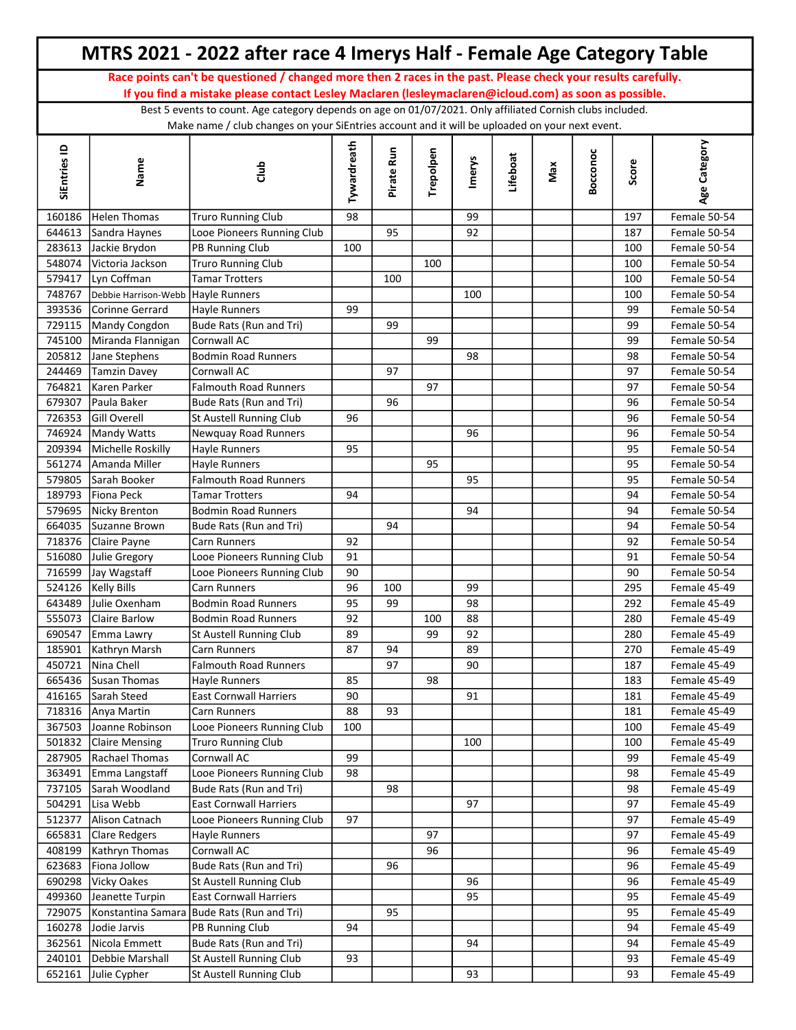|                  |                                    | MTRS 2021 - 2022 after race 4 Imerys Half - Female Age Category Table                                                                                                                                        |             |            |           |        |          |     |          |            |                              |
|------------------|------------------------------------|--------------------------------------------------------------------------------------------------------------------------------------------------------------------------------------------------------------|-------------|------------|-----------|--------|----------|-----|----------|------------|------------------------------|
|                  |                                    | Race points can't be questioned / changed more then 2 races in the past. Please check your results carefully.                                                                                                |             |            |           |        |          |     |          |            |                              |
|                  |                                    | If you find a mistake please contact Lesley Maclaren (lesleymaclaren@icloud.com) as soon as possible.                                                                                                        |             |            |           |        |          |     |          |            |                              |
|                  |                                    | Best 5 events to count. Age category depends on age on 01/07/2021. Only affiliated Cornish clubs included.<br>Make name / club changes on your SiEntries account and it will be uploaded on your next event. |             |            |           |        |          |     |          |            |                              |
| SiEntries ID     | Name                               | dub                                                                                                                                                                                                          | Tywardreath | Pirate Run | Trepolpen | Imerys | Lifeboat | Max | Bocconoc | Score      | Age Category                 |
| 160186           | Helen Thomas                       | <b>Truro Running Club</b>                                                                                                                                                                                    | 98          |            |           | 99     |          |     |          | 197        | Female 50-54                 |
| 644613           | Sandra Haynes                      | Looe Pioneers Running Club                                                                                                                                                                                   |             | 95         |           | 92     |          |     |          | 187        | Female 50-54                 |
| 283613           | Jackie Brydon                      | PB Running Club                                                                                                                                                                                              | 100         |            |           |        |          |     |          | 100        | Female 50-54                 |
| 548074           | Victoria Jackson                   | <b>Truro Running Club</b>                                                                                                                                                                                    |             |            | 100       |        |          |     |          | 100        | Female 50-54                 |
| 579417           | Lyn Coffman                        | <b>Tamar Trotters</b>                                                                                                                                                                                        |             | 100        |           |        |          |     |          | 100        | Female 50-54                 |
| 748767           | Debbie Harrison-Webb Hayle Runners |                                                                                                                                                                                                              |             |            |           | 100    |          |     |          | 100        | Female 50-54                 |
| 393536           | Corinne Gerrard                    | Hayle Runners                                                                                                                                                                                                | 99          |            |           |        |          |     |          | 99         | Female 50-54                 |
| 729115           | Mandy Congdon                      | Bude Rats (Run and Tri)                                                                                                                                                                                      |             | 99         |           |        |          |     |          | 99         | Female 50-54                 |
| 745100           | Miranda Flannigan                  | Cornwall AC                                                                                                                                                                                                  |             |            | 99        |        |          |     |          | 99         | Female 50-54                 |
| 205812           | Jane Stephens                      | <b>Bodmin Road Runners</b>                                                                                                                                                                                   |             |            |           | 98     |          |     |          | 98         | Female 50-54                 |
| 244469           | <b>Tamzin Davey</b>                | Cornwall AC                                                                                                                                                                                                  |             | 97         |           |        |          |     |          | 97         | Female 50-54                 |
| 764821           | Karen Parker                       | <b>Falmouth Road Runners</b>                                                                                                                                                                                 |             |            | 97        |        |          |     |          | 97         | Female 50-54                 |
| 679307           | Paula Baker                        | Bude Rats (Run and Tri)                                                                                                                                                                                      |             | 96         |           |        |          |     |          | 96         | Female 50-54                 |
| 726353           | <b>Gill Overell</b>                | St Austell Running Club                                                                                                                                                                                      | 96          |            |           |        |          |     |          | 96         | Female 50-54                 |
| 746924           | Mandy Watts                        | Newquay Road Runners                                                                                                                                                                                         |             |            |           | 96     |          |     |          | 96         | Female 50-54                 |
| 209394           | Michelle Roskilly                  | Hayle Runners                                                                                                                                                                                                | 95          |            |           |        |          |     |          | 95         | Female 50-54                 |
| 561274           | Amanda Miller                      | Hayle Runners                                                                                                                                                                                                |             |            | 95        |        |          |     |          | 95         | Female 50-54                 |
| 579805           | Sarah Booker                       | <b>Falmouth Road Runners</b>                                                                                                                                                                                 |             |            |           | 95     |          |     |          | 95         | Female 50-54                 |
| 189793           | Fiona Peck                         | Tamar Trotters                                                                                                                                                                                               | 94          |            |           |        |          |     |          | 94         | Female 50-54                 |
| 579695           | Nicky Brenton                      | <b>Bodmin Road Runners</b>                                                                                                                                                                                   |             |            |           | 94     |          |     |          | 94         | Female 50-54                 |
| 664035           | Suzanne Brown                      | Bude Rats (Run and Tri)                                                                                                                                                                                      |             | 94         |           |        |          |     |          | 94         | Female 50-54                 |
| 718376           | Claire Payne                       | Carn Runners                                                                                                                                                                                                 | 92          |            |           |        |          |     |          | 92         | Female 50-54                 |
| 516080           | Julie Gregory                      | Looe Pioneers Running Club                                                                                                                                                                                   | 91          |            |           |        |          |     |          | 91         | Female 50-54                 |
| 716599           | Jay Wagstaff                       | Looe Pioneers Running Club                                                                                                                                                                                   | 90          |            |           |        |          |     |          | 90         | Female 50-54                 |
| 524126           | <b>Kelly Bills</b>                 | Carn Runners                                                                                                                                                                                                 | 96          | 100        |           | 99     |          |     |          | 295        | Female 45-49                 |
| 643489           | Julie Oxenham                      | <b>Bodmin Road Runners</b>                                                                                                                                                                                   | 95          | 99         |           | 98     |          |     |          | 292        | Female 45-49                 |
|                  | 555073 Claire Barlow               | <b>Bodmin Road Runners</b>                                                                                                                                                                                   | 92          |            | 100       | 88     |          |     |          | 280        | Female 45-49                 |
| 690547           | Emma Lawry                         | St Austell Running Club                                                                                                                                                                                      | 89          |            | 99        | 92     |          |     |          | 280        | Female 45-49                 |
| 185901           | Kathryn Marsh                      | Carn Runners                                                                                                                                                                                                 | 87          | 94         |           | 89     |          |     |          | 270        | Female 45-49                 |
| 450721           | Nina Chell                         | <b>Falmouth Road Runners</b>                                                                                                                                                                                 |             | 97         |           | 90     |          |     |          | 187        | Female 45-49                 |
| 665436           | Susan Thomas                       | Hayle Runners                                                                                                                                                                                                | 85          |            | 98        |        |          |     |          | 183        | Female 45-49                 |
| 416165           | Sarah Steed                        | <b>East Cornwall Harriers</b>                                                                                                                                                                                | 90          | 93         |           | 91     |          |     |          | 181        | Female 45-49                 |
| 718316<br>367503 | Anya Martin<br>Joanne Robinson     | Carn Runners<br>Looe Pioneers Running Club                                                                                                                                                                   | 88<br>100   |            |           |        |          |     |          | 181<br>100 | Female 45-49<br>Female 45-49 |
| 501832           | <b>Claire Mensing</b>              | <b>Truro Running Club</b>                                                                                                                                                                                    |             |            |           | 100    |          |     |          | 100        | Female 45-49                 |
| 287905           | Rachael Thomas                     | Cornwall AC                                                                                                                                                                                                  | 99          |            |           |        |          |     |          | 99         | Female 45-49                 |
| 363491           | Emma Langstaff                     | Looe Pioneers Running Club                                                                                                                                                                                   | 98          |            |           |        |          |     |          | 98         | Female 45-49                 |
| 737105           | Sarah Woodland                     | Bude Rats (Run and Tri)                                                                                                                                                                                      |             | 98         |           |        |          |     |          | 98         | Female 45-49                 |
| 504291           | Lisa Webb                          | <b>East Cornwall Harriers</b>                                                                                                                                                                                |             |            |           | 97     |          |     |          | 97         | Female 45-49                 |
| 512377           | Alison Catnach                     | Looe Pioneers Running Club                                                                                                                                                                                   | 97          |            |           |        |          |     |          | 97         | Female 45-49                 |
| 665831           | <b>Clare Redgers</b>               | Hayle Runners                                                                                                                                                                                                |             |            | 97        |        |          |     |          | 97         | Female 45-49                 |
| 408199           | Kathryn Thomas                     | Cornwall AC                                                                                                                                                                                                  |             |            | 96        |        |          |     |          | 96         | Female 45-49                 |
| 623683           | Fiona Jollow                       | Bude Rats (Run and Tri)                                                                                                                                                                                      |             | 96         |           |        |          |     |          | 96         | Female 45-49                 |
| 690298           | <b>Vicky Oakes</b>                 | St Austell Running Club                                                                                                                                                                                      |             |            |           | 96     |          |     |          | 96         | Female 45-49                 |
| 499360           | Jeanette Turpin                    | <b>East Cornwall Harriers</b>                                                                                                                                                                                |             |            |           | 95     |          |     |          | 95         | Female 45-49                 |
| 729075           | Konstantina Samara                 | Bude Rats (Run and Tri)                                                                                                                                                                                      |             | 95         |           |        |          |     |          | 95         | Female 45-49                 |
| 160278           | Jodie Jarvis                       | PB Running Club                                                                                                                                                                                              | 94          |            |           |        |          |     |          | 94         | Female 45-49                 |
| 362561           | Nicola Emmett                      | Bude Rats (Run and Tri)                                                                                                                                                                                      |             |            |           | 94     |          |     |          | 94         | Female 45-49                 |
| 240101           | Debbie Marshall                    | St Austell Running Club                                                                                                                                                                                      | 93          |            |           |        |          |     |          | 93         | Female 45-49                 |
| 652161           | Julie Cypher                       | St Austell Running Club                                                                                                                                                                                      |             |            |           | 93     |          |     |          | 93         | Female 45-49                 |
|                  |                                    |                                                                                                                                                                                                              |             |            |           |        |          |     |          |            |                              |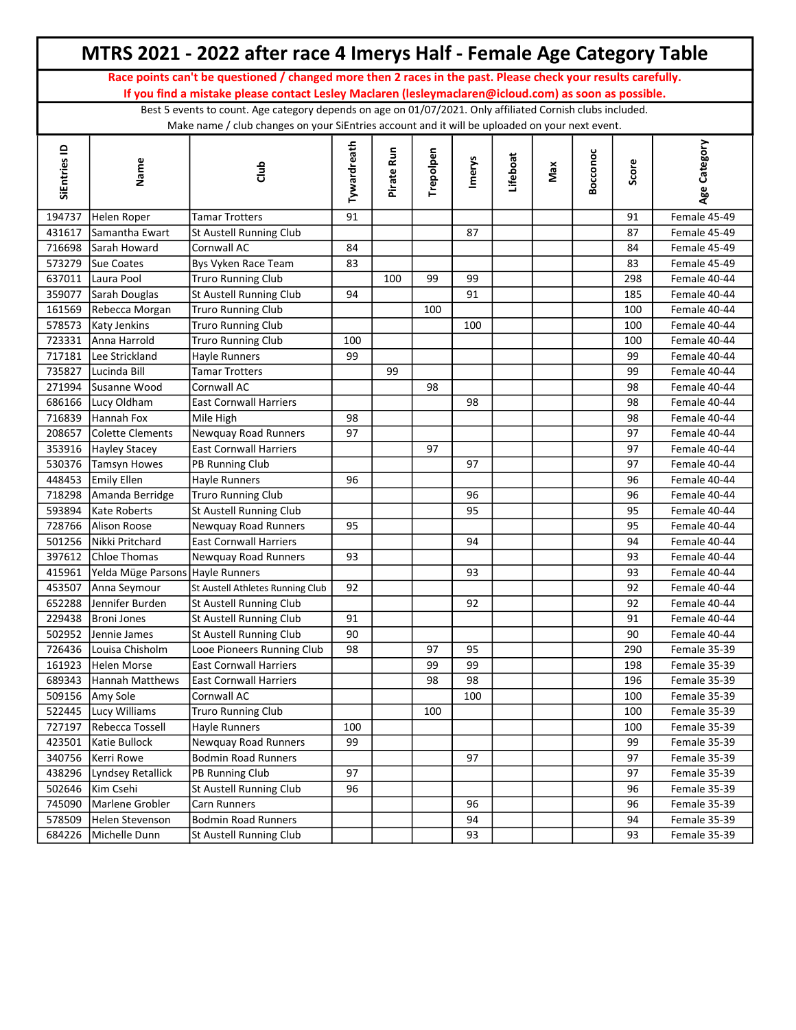|              |                                  | MTRS 2021 - 2022 after race 4 Imerys Half - Female Age Category Table                                                                                                                                        |             |            |           |        |          |     |          |       |              |  |
|--------------|----------------------------------|--------------------------------------------------------------------------------------------------------------------------------------------------------------------------------------------------------------|-------------|------------|-----------|--------|----------|-----|----------|-------|--------------|--|
|              |                                  | Race points can't be questioned / changed more then 2 races in the past. Please check your results carefully.                                                                                                |             |            |           |        |          |     |          |       |              |  |
|              |                                  | If you find a mistake please contact Lesley Maclaren (lesleymaclaren@icloud.com) as soon as possible.                                                                                                        |             |            |           |        |          |     |          |       |              |  |
|              |                                  | Best 5 events to count. Age category depends on age on 01/07/2021. Only affiliated Cornish clubs included.<br>Make name / club changes on your SiEntries account and it will be uploaded on your next event. |             |            |           |        |          |     |          |       |              |  |
| SiEntries ID | Name                             | dub<br>O                                                                                                                                                                                                     | Tywardreath | Pirate Run | Trepolpen | Imerys | Lifeboat | Max | Bocconoc | Score | Age Category |  |
| 194737       | Helen Roper                      | <b>Tamar Trotters</b>                                                                                                                                                                                        | 91          |            |           |        |          |     |          | 91    | Female 45-49 |  |
| 431617       | Samantha Ewart                   | St Austell Running Club                                                                                                                                                                                      |             |            |           | 87     |          |     |          | 87    | Female 45-49 |  |
| 716698       | Sarah Howard                     | Cornwall AC                                                                                                                                                                                                  | 84          |            |           |        |          |     |          | 84    | Female 45-49 |  |
| 573279       | Sue Coates                       | Bys Vyken Race Team                                                                                                                                                                                          | 83          |            |           |        |          |     |          | 83    | Female 45-49 |  |
| 637011       | Laura Pool                       | <b>Truro Running Club</b>                                                                                                                                                                                    |             | 100        | 99        | 99     |          |     |          | 298   | Female 40-44 |  |
| 359077       | Sarah Douglas                    | St Austell Running Club                                                                                                                                                                                      | 94          |            |           | 91     |          |     |          | 185   | Female 40-44 |  |
| 161569       | Rebecca Morgan                   | <b>Truro Running Club</b>                                                                                                                                                                                    |             |            | 100       |        |          |     |          | 100   | Female 40-44 |  |
|              | 578573 Katy Jenkins              | Truro Running Club                                                                                                                                                                                           |             |            |           | 100    |          |     |          | 100   | Female 40-44 |  |
|              | 723331 Anna Harrold              | <b>Truro Running Club</b>                                                                                                                                                                                    | 100         |            |           |        |          |     |          | 100   | Female 40-44 |  |
| 717181       | Lee Strickland                   | Hayle Runners                                                                                                                                                                                                | 99          |            |           |        |          |     |          | 99    | Female 40-44 |  |
| 735827       | Lucinda Bill                     | Tamar Trotters                                                                                                                                                                                               |             | 99         |           |        |          |     |          | 99    | Female 40-44 |  |
| 271994       | Susanne Wood                     | Cornwall AC                                                                                                                                                                                                  |             |            | 98        |        |          |     |          | 98    | Female 40-44 |  |
| 686166       | Lucy Oldham                      | <b>East Cornwall Harriers</b>                                                                                                                                                                                |             |            |           | 98     |          |     |          | 98    | Female 40-44 |  |
| 716839       | Hannah Fox                       | Mile High                                                                                                                                                                                                    | 98          |            |           |        |          |     |          | 98    | Female 40-44 |  |
| 208657       | Colette Clements                 | Newquay Road Runners                                                                                                                                                                                         | 97          |            |           |        |          |     |          | 97    | Female 40-44 |  |
| 353916       | <b>Hayley Stacey</b>             | <b>East Cornwall Harriers</b>                                                                                                                                                                                |             |            | 97        |        |          |     |          | 97    | Female 40-44 |  |
| 530376       | Tamsyn Howes                     | PB Running Club                                                                                                                                                                                              |             |            |           | 97     |          |     |          | 97    | Female 40-44 |  |
| 448453       | <b>Emily Ellen</b>               | Hayle Runners                                                                                                                                                                                                | 96          |            |           |        |          |     |          | 96    | Female 40-44 |  |
| 718298       | Amanda Berridge                  | Truro Running Club                                                                                                                                                                                           |             |            |           | 96     |          |     |          | 96    | Female 40-44 |  |
| 593894       | Kate Roberts                     | St Austell Running Club                                                                                                                                                                                      |             |            |           | 95     |          |     |          | 95    | Female 40-44 |  |
| 728766       | Alison Roose                     | Newquay Road Runners                                                                                                                                                                                         | 95          |            |           |        |          |     |          | 95    | Female 40-44 |  |
| 501256       | Nikki Pritchard                  | <b>East Cornwall Harriers</b>                                                                                                                                                                                |             |            |           | 94     |          |     |          | 94    | Female 40-44 |  |
| 397612       | Chloe Thomas                     | Newquay Road Runners                                                                                                                                                                                         | 93          |            |           |        |          |     |          | 93    | Female 40-44 |  |
| 415961       | Yelda Müge Parsons Hayle Runners |                                                                                                                                                                                                              |             |            |           | 93     |          |     |          | 93    | Female 40-44 |  |
| 453507       | Anna Seymour                     | St Austell Athletes Running Club                                                                                                                                                                             | 92          |            |           |        |          |     |          | 92    | Female 40-44 |  |
| 652288       | Jennifer Burden                  | St Austell Running Club                                                                                                                                                                                      |             |            |           | 92     |          |     |          | 92    | Female 40-44 |  |
|              | 229438   Broni Jones             | St Austell Running Club                                                                                                                                                                                      | 91          |            |           |        |          |     |          | 91    | Female 40-44 |  |
| 502952       | Jennie James                     | St Austell Running Club                                                                                                                                                                                      | 90          |            |           |        |          |     |          | 90    | Female 40-44 |  |
| 726436       | Louisa Chisholm                  | Looe Pioneers Running Club                                                                                                                                                                                   | 98          |            | 97        | 95     |          |     |          | 290   | Female 35-39 |  |
|              | 161923 Helen Morse               | <b>East Cornwall Harriers</b>                                                                                                                                                                                |             |            | 99        | 99     |          |     |          | 198   | Female 35-39 |  |
|              | 689343 Hannah Matthews           | <b>East Cornwall Harriers</b>                                                                                                                                                                                |             |            | 98        | 98     |          |     |          | 196   | Female 35-39 |  |
|              | 509156 Amy Sole                  | Cornwall AC                                                                                                                                                                                                  |             |            |           | 100    |          |     |          | 100   | Female 35-39 |  |
|              | 522445 Lucy Williams             | Truro Running Club                                                                                                                                                                                           |             |            | 100       |        |          |     |          | 100   | Female 35-39 |  |
|              | 727197 Rebecca Tossell           | Hayle Runners                                                                                                                                                                                                | 100         |            |           |        |          |     |          | 100   | Female 35-39 |  |
| 423501       | Katie Bullock                    | Newquay Road Runners                                                                                                                                                                                         | 99          |            |           |        |          |     |          | 99    | Female 35-39 |  |
| 340756       | Kerri Rowe                       | <b>Bodmin Road Runners</b>                                                                                                                                                                                   |             |            |           | 97     |          |     |          | 97    | Female 35-39 |  |
| 438296       | Lyndsey Retallick                | PB Running Club                                                                                                                                                                                              | 97          |            |           |        |          |     |          | 97    | Female 35-39 |  |
| 502646       | Kim Csehi                        | St Austell Running Club                                                                                                                                                                                      | 96          |            |           |        |          |     |          | 96    | Female 35-39 |  |
| 745090       | Marlene Grobler                  | Carn Runners                                                                                                                                                                                                 |             |            |           | 96     |          |     |          | 96    | Female 35-39 |  |
| 578509       | Helen Stevenson                  | <b>Bodmin Road Runners</b>                                                                                                                                                                                   |             |            |           | 94     |          |     |          | 94    | Female 35-39 |  |
| 684226       | Michelle Dunn                    | St Austell Running Club                                                                                                                                                                                      |             |            |           | 93     |          |     |          | 93    | Female 35-39 |  |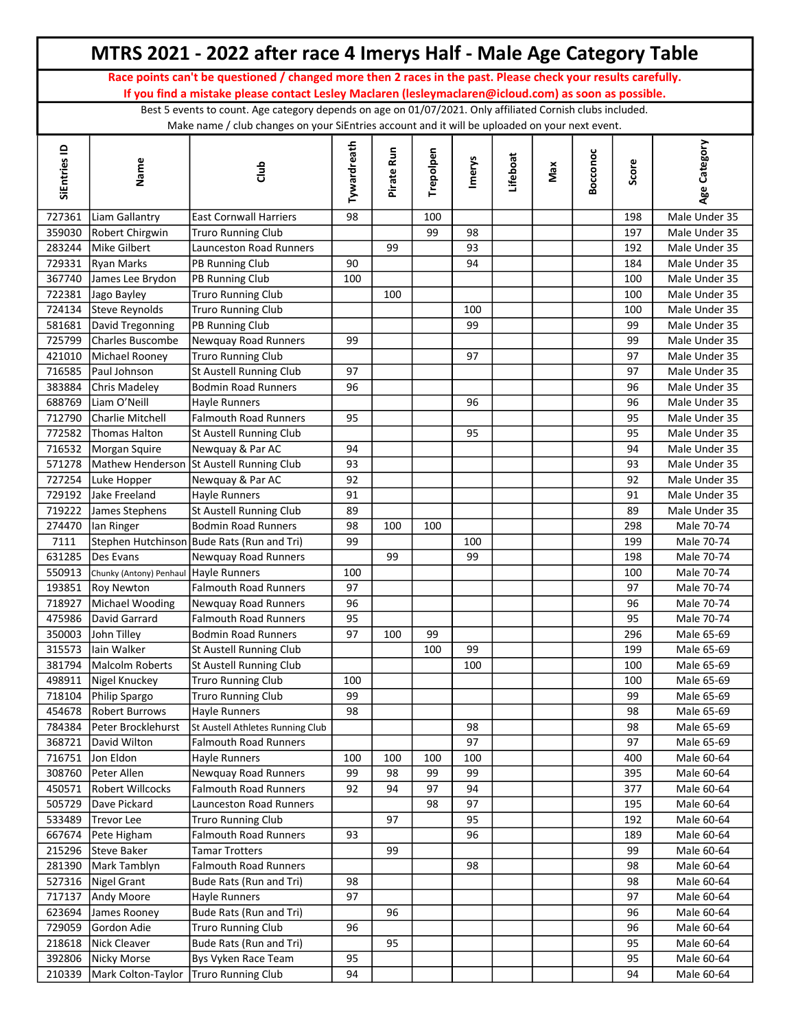|                  |                                         | MTRS 2021 - 2022 after race 4 Imerys Half - Male Age Category Table                                                                                                                                          |             |            |           |               |          |     |          |            |                                |
|------------------|-----------------------------------------|--------------------------------------------------------------------------------------------------------------------------------------------------------------------------------------------------------------|-------------|------------|-----------|---------------|----------|-----|----------|------------|--------------------------------|
|                  |                                         | Race points can't be questioned / changed more then 2 races in the past. Please check your results carefully.                                                                                                |             |            |           |               |          |     |          |            |                                |
|                  |                                         | If you find a mistake please contact Lesley Maclaren (lesleymaclaren@icloud.com) as soon as possible.                                                                                                        |             |            |           |               |          |     |          |            |                                |
|                  |                                         | Best 5 events to count. Age category depends on age on 01/07/2021. Only affiliated Cornish clubs included.<br>Make name / club changes on your SiEntries account and it will be uploaded on your next event. |             |            |           |               |          |     |          |            |                                |
| SiEntries ID     | Name                                    | dub                                                                                                                                                                                                          | Tywardreath | Pirate Run | Trepolpen | <b>Imerys</b> | Lifeboat | Max | Bocconoc | Score      | Age Category                   |
| 727361           | Liam Gallantry                          | <b>East Cornwall Harriers</b>                                                                                                                                                                                | 98          |            | 100       |               |          |     |          | 198        | Male Under 35                  |
|                  | 359030 Robert Chirgwin                  | <b>Truro Running Club</b>                                                                                                                                                                                    |             |            | 99        | 98            |          |     |          | 197        | Male Under 35                  |
| 283244           | Mike Gilbert                            | Launceston Road Runners                                                                                                                                                                                      |             | 99         |           | 93            |          |     |          | 192        | Male Under 35                  |
|                  | 729331 Ryan Marks                       | PB Running Club                                                                                                                                                                                              | 90          |            |           | 94            |          |     |          | 184        | Male Under 35                  |
|                  | 367740 James Lee Brydon                 | PB Running Club                                                                                                                                                                                              | 100         |            |           |               |          |     |          | 100        | Male Under 35                  |
| 722381           | Jago Bayley                             | <b>Truro Running Club</b>                                                                                                                                                                                    |             | 100        |           |               |          |     |          | 100        | Male Under 35                  |
|                  | 724134 Steve Reynolds                   | <b>Truro Running Club</b>                                                                                                                                                                                    |             |            |           | 100           |          |     |          | 100        | Male Under 35                  |
|                  | 581681 David Tregonning                 | PB Running Club                                                                                                                                                                                              |             |            |           | 99            |          |     |          | 99         | Male Under 35                  |
|                  | 725799 Charles Buscombe                 | Newquay Road Runners                                                                                                                                                                                         | 99          |            |           |               |          |     |          | 99         | Male Under 35                  |
| 421010           | Michael Rooney                          | Truro Running Club                                                                                                                                                                                           |             |            |           | 97            |          |     |          | 97         | Male Under 35                  |
| 716585           | Paul Johnson                            | St Austell Running Club                                                                                                                                                                                      | 97          |            |           |               |          |     |          | 97         | Male Under 35                  |
| 383884           | Chris Madeley                           | Bodmin Road Runners                                                                                                                                                                                          | 96          |            |           |               |          |     |          | 96         | Male Under 35                  |
| 688769           | Liam O'Neill<br><b>Charlie Mitchell</b> | <b>Hayle Runners</b><br>Falmouth Road Runners                                                                                                                                                                | 95          |            |           | 96            |          |     |          | 96<br>95   | Male Under 35<br>Male Under 35 |
| 712790<br>772582 | Thomas Halton                           | St Austell Running Club                                                                                                                                                                                      |             |            |           | 95            |          |     |          | 95         | Male Under 35                  |
| 716532           | Morgan Squire                           | Newquay & Par AC                                                                                                                                                                                             | 94          |            |           |               |          |     |          | 94         | Male Under 35                  |
| 571278           |                                         | Mathew Henderson St Austell Running Club                                                                                                                                                                     | 93          |            |           |               |          |     |          | 93         | Male Under 35                  |
| 727254           | Luke Hopper                             | Newquay & Par AC                                                                                                                                                                                             | 92          |            |           |               |          |     |          | 92         | Male Under 35                  |
| 729192           | Jake Freeland                           | Hayle Runners                                                                                                                                                                                                | 91          |            |           |               |          |     |          | 91         | Male Under 35                  |
| 719222           | James Stephens                          | St Austell Running Club                                                                                                                                                                                      | 89          |            |           |               |          |     |          | 89         | Male Under 35                  |
| 274470           | lan Ringer                              | Bodmin Road Runners                                                                                                                                                                                          | 98          | 100        | 100       |               |          |     |          | 298        | Male 70-74                     |
| 7111             |                                         | Stephen Hutchinson Bude Rats (Run and Tri)                                                                                                                                                                   | 99          |            |           | 100           |          |     |          | 199        | Male 70-74                     |
| 631285           | Des Evans                               | Newquay Road Runners                                                                                                                                                                                         |             | 99         |           | 99            |          |     |          | 198        | Male 70-74                     |
| 550913           | Chunky (Antony) Penhaul Hayle Runners   |                                                                                                                                                                                                              | 100         |            |           |               |          |     |          | 100        | Male 70-74                     |
| 193851           | <b>Roy Newton</b>                       | Falmouth Road Runners                                                                                                                                                                                        | 97          |            |           |               |          |     |          | 97         | Male 70-74                     |
| 718927           | Michael Wooding                         | Newquay Road Runners                                                                                                                                                                                         | 96          |            |           |               |          |     |          | 96         | Male 70-74                     |
|                  | 475986 David Garrard                    | <b>Falmouth Road Runners</b>                                                                                                                                                                                 | 95          |            |           |               |          |     |          | 95         | Male 70-74                     |
| 350003           | John Tilley                             | Bodmin Road Runners                                                                                                                                                                                          | 97          | 100        | 99        |               |          |     |          | 296        | Male 65-69                     |
| 315573           | lain Walker                             | St Austell Running Club                                                                                                                                                                                      |             |            | 100       | 99            |          |     |          | 199        | Male 65-69                     |
| 381794           | Malcolm Roberts                         | St Austell Running Club                                                                                                                                                                                      |             |            |           | 100           |          |     |          | 100        | Male 65-69                     |
| 498911           | Nigel Knuckey                           | Truro Running Club                                                                                                                                                                                           | 100         |            |           |               |          |     |          | 100        | Male 65-69                     |
| 718104           | Philip Spargo                           | <b>Truro Running Club</b>                                                                                                                                                                                    | 99          |            |           |               |          |     |          | 99         | Male 65-69                     |
| 454678           | <b>Robert Burrows</b>                   | <b>Hayle Runners</b>                                                                                                                                                                                         | 98          |            |           |               |          |     |          | 98         | Male 65-69                     |
| 784384           | Peter Brocklehurst                      | St Austell Athletes Running Club                                                                                                                                                                             |             |            |           | 98            |          |     |          | 98         | Male 65-69                     |
| 368721           | David Wilton                            | <b>Falmouth Road Runners</b>                                                                                                                                                                                 |             |            |           | 97            |          |     |          | 97         | Male 65-69                     |
| 716751           | Jon Eldon                               | Hayle Runners                                                                                                                                                                                                | 100         | 100        | 100       | 100           |          |     |          | 400        | Male 60-64                     |
| 308760           | Peter Allen                             | Newquay Road Runners                                                                                                                                                                                         | 99          | 98         | 99        | 99            |          |     |          | 395        | Male 60-64                     |
| 450571           | Robert Willcocks                        | <b>Falmouth Road Runners</b>                                                                                                                                                                                 | 92          | 94         | 97        | 94            |          |     |          | 377        | Male 60-64                     |
| 505729<br>533489 | Dave Pickard<br><b>Trevor Lee</b>       | Launceston Road Runners<br><b>Truro Running Club</b>                                                                                                                                                         |             | 97         | 98        | 97<br>95      |          |     |          | 195<br>192 | Male 60-64<br>Male 60-64       |
| 667674           | Pete Higham                             | <b>Falmouth Road Runners</b>                                                                                                                                                                                 | 93          |            |           | 96            |          |     |          | 189        | Male 60-64                     |
| 215296           | Steve Baker                             | <b>Tamar Trotters</b>                                                                                                                                                                                        |             | 99         |           |               |          |     |          | 99         | Male 60-64                     |
| 281390           | Mark Tamblyn                            | <b>Falmouth Road Runners</b>                                                                                                                                                                                 |             |            |           | 98            |          |     |          | 98         | Male 60-64                     |
| 527316           | Nigel Grant                             | Bude Rats (Run and Tri)                                                                                                                                                                                      | 98          |            |           |               |          |     |          | 98         | Male 60-64                     |
| 717137           | Andy Moore                              | <b>Hayle Runners</b>                                                                                                                                                                                         | 97          |            |           |               |          |     |          | 97         | Male 60-64                     |
| 623694           | James Rooney                            | Bude Rats (Run and Tri)                                                                                                                                                                                      |             | 96         |           |               |          |     |          | 96         | Male 60-64                     |
| 729059           | Gordon Adie                             | <b>Truro Running Club</b>                                                                                                                                                                                    | 96          |            |           |               |          |     |          | 96         | Male 60-64                     |
| 218618           | Nick Cleaver                            | Bude Rats (Run and Tri)                                                                                                                                                                                      |             | 95         |           |               |          |     |          | 95         | Male 60-64                     |
| 392806           | Nicky Morse                             | Bys Vyken Race Team                                                                                                                                                                                          | 95          |            |           |               |          |     |          | 95         | Male 60-64                     |
| 210339           | Mark Colton-Taylor   Truro Running Club |                                                                                                                                                                                                              | 94          |            |           |               |          |     |          | 94         | Male 60-64                     |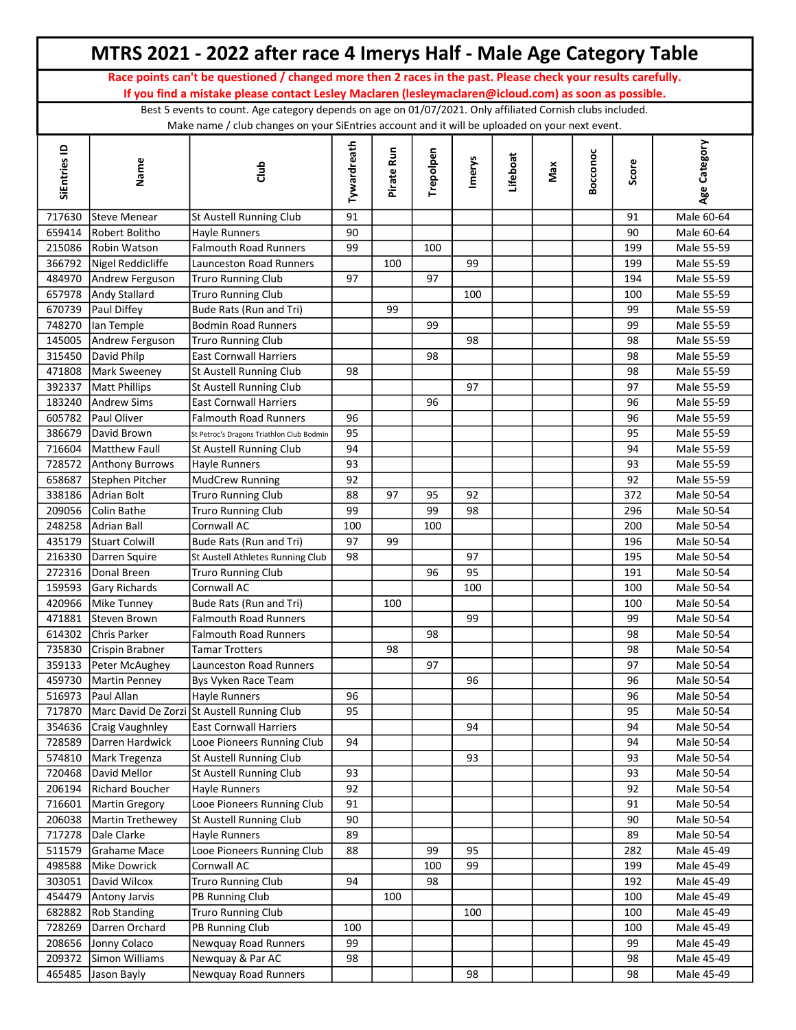|                  |                                 | MTRS 2021 - 2022 after race 4 Imerys Half - Male Age Category Table                                                                                                                                          |             |            |           |        |          |     |          |          |                          |
|------------------|---------------------------------|--------------------------------------------------------------------------------------------------------------------------------------------------------------------------------------------------------------|-------------|------------|-----------|--------|----------|-----|----------|----------|--------------------------|
|                  |                                 | Race points can't be questioned / changed more then 2 races in the past. Please check your results carefully.                                                                                                |             |            |           |        |          |     |          |          |                          |
|                  |                                 | If you find a mistake please contact Lesley Maclaren (lesleymaclaren@icloud.com) as soon as possible.                                                                                                        |             |            |           |        |          |     |          |          |                          |
|                  |                                 | Best 5 events to count. Age category depends on age on 01/07/2021. Only affiliated Cornish clubs included.<br>Make name / club changes on your SiEntries account and it will be uploaded on your next event. |             |            |           |        |          |     |          |          |                          |
| SiEntries ID     | Name                            | dub                                                                                                                                                                                                          | Tywardreath | Pirate Run | Trepolpen | Imerys | Lifeboat | Max | Bocconoc | Score    | Age Category             |
| 717630           | <b>Steve Menear</b>             | St Austell Running Club                                                                                                                                                                                      | 91          |            |           |        |          |     |          | 91       | Male 60-64               |
| 659414           | Robert Bolitho                  | Hayle Runners                                                                                                                                                                                                | 90          |            |           |        |          |     |          | 90       | Male 60-64               |
| 215086           | Robin Watson                    | <b>Falmouth Road Runners</b>                                                                                                                                                                                 | 99          |            | 100       |        |          |     |          | 199      | Male 55-59               |
| 366792           | Nigel Reddicliffe               | <b>Launceston Road Runners</b>                                                                                                                                                                               |             | 100        |           | 99     |          |     |          | 199      | Male 55-59               |
| 484970           | Andrew Ferguson                 | <b>Truro Running Club</b>                                                                                                                                                                                    | 97          |            | 97        |        |          |     |          | 194      | Male 55-59               |
| 657978           | Andy Stallard                   | <b>Truro Running Club</b>                                                                                                                                                                                    |             |            |           | 100    |          |     |          | 100      | Male 55-59               |
| 670739           | Paul Diffey                     | Bude Rats (Run and Tri)                                                                                                                                                                                      |             | 99         |           |        |          |     |          | 99       | Male 55-59               |
| 748270           | lan Temple                      | <b>Bodmin Road Runners</b>                                                                                                                                                                                   |             |            | 99        |        |          |     |          | 99       | Male 55-59               |
| 145005           | Andrew Ferguson                 | Truro Running Club                                                                                                                                                                                           |             |            |           | 98     |          |     |          | 98       | Male 55-59               |
| 315450           | David Philp                     | <b>East Cornwall Harriers</b>                                                                                                                                                                                |             |            | 98        |        |          |     |          | 98       | Male 55-59               |
| 471808           | Mark Sweeney                    | St Austell Running Club                                                                                                                                                                                      | 98          |            |           |        |          |     |          | 98       | Male 55-59               |
| 392337           | <b>Matt Phillips</b>            | St Austell Running Club                                                                                                                                                                                      |             |            |           | 97     |          |     |          | 97       | Male 55-59               |
| 183240           | <b>Andrew Sims</b>              | <b>East Cornwall Harriers</b>                                                                                                                                                                                |             |            | 96        |        |          |     |          | 96       | Male 55-59               |
| 605782           | Paul Oliver                     | <b>Falmouth Road Runners</b>                                                                                                                                                                                 | 96          |            |           |        |          |     |          | 96       | Male 55-59               |
| 386679           | David Brown                     | St Petroc's Dragons Triathlon Club Bodmin                                                                                                                                                                    | 95          |            |           |        |          |     |          | 95       | Male 55-59               |
| 716604           | Matthew Faull                   | St Austell Running Club                                                                                                                                                                                      | 94          |            |           |        |          |     |          | 94       | Male 55-59               |
| 728572           | <b>Anthony Burrows</b>          | <b>Hayle Runners</b>                                                                                                                                                                                         | 93          |            |           |        |          |     |          | 93       | Male 55-59               |
| 658687           | Stephen Pitcher                 | MudCrew Running                                                                                                                                                                                              | 92          |            |           |        |          |     |          | 92       | Male 55-59               |
| 338186           | Adrian Bolt                     | Truro Running Club                                                                                                                                                                                           | 88          | 97         | 95        | 92     |          |     |          | 372      | Male 50-54               |
| 209056           | Colin Bathe                     | <b>Truro Running Club</b>                                                                                                                                                                                    | 99          |            | 99        | 98     |          |     |          | 296      | Male 50-54               |
| 248258           | Adrian Ball                     | Cornwall AC                                                                                                                                                                                                  | 100         |            | 100       |        |          |     |          | 200      | Male 50-54               |
| 435179           | <b>Stuart Colwill</b>           | Bude Rats (Run and Tri)                                                                                                                                                                                      | 97          | 99         |           |        |          |     |          | 196      | Male 50-54               |
| 216330           | Darren Squire                   | St Austell Athletes Running Club                                                                                                                                                                             | 98          |            |           | 97     |          |     |          | 195      | Male 50-54               |
| 272316           | Donal Breen                     | <b>Truro Running Club</b>                                                                                                                                                                                    |             |            | 96        | 95     |          |     |          | 191      | Male 50-54               |
| 159593           | <b>Gary Richards</b>            | Cornwall AC                                                                                                                                                                                                  |             |            |           | 100    |          |     |          | 100      | Male 50-54               |
| 420966           | Mike Tunney                     | Bude Rats (Run and Tri)                                                                                                                                                                                      |             | 100        |           |        |          |     |          | 100      | Male 50-54               |
| 471881           | Steven Brown                    | <b>Falmouth Road Runners</b>                                                                                                                                                                                 |             |            |           | 99     |          |     |          | 99       | Male 50-54               |
| 614302           | Chris Parker                    | <b>Falmouth Road Runners</b>                                                                                                                                                                                 |             |            | 98        |        |          |     |          | 98       | Male 50-54               |
| 735830           | Crispin Brabner                 | <b>Tamar Trotters</b>                                                                                                                                                                                        |             | 98         |           |        |          |     |          | 98       | Male 50-54               |
| 359133           | Peter McAughey                  | Launceston Road Runners                                                                                                                                                                                      |             |            | 97        |        |          |     |          | 97       | Male 50-54               |
| 459730           | Martin Penney                   | Bys Vyken Race Team                                                                                                                                                                                          |             |            |           | 96     |          |     |          | 96       | Male 50-54               |
| 516973           | Paul Allan                      | Hayle Runners                                                                                                                                                                                                | 96          |            |           |        |          |     |          | 96       | Male 50-54               |
| 717870           |                                 | Marc David De Zorzi St Austell Running Club                                                                                                                                                                  | 95          |            |           |        |          |     |          | 95       | Male 50-54               |
| 354636           | Craig Vaughnley                 | <b>East Cornwall Harriers</b><br>Looe Pioneers Running Club                                                                                                                                                  | 94          |            |           | 94     |          |     |          | 94       | Male 50-54               |
| 728589           | Darren Hardwick                 |                                                                                                                                                                                                              |             |            |           | 93     |          |     |          | 94       | Male 50-54               |
| 574810<br>720468 | Mark Tregenza                   | St Austell Running Club                                                                                                                                                                                      |             |            |           |        |          |     |          | 93       | Male 50-54               |
| 206194           | David Mellor<br>Richard Boucher | St Austell Running Club<br>Hayle Runners                                                                                                                                                                     | 93<br>92    |            |           |        |          |     |          | 93<br>92 | Male 50-54<br>Male 50-54 |
| 716601           | Martin Gregory                  | Looe Pioneers Running Club                                                                                                                                                                                   | 91          |            |           |        |          |     |          | 91       | Male 50-54               |
| 206038           | Martin Trethewey                | St Austell Running Club                                                                                                                                                                                      | 90          |            |           |        |          |     |          | 90       | Male 50-54               |
| 717278           |                                 |                                                                                                                                                                                                              | 89          |            |           |        |          |     |          | 89       |                          |
| 511579           | Dale Clarke<br>Grahame Mace     | Hayle Runners<br>Looe Pioneers Running Club                                                                                                                                                                  | 88          |            | 99        | 95     |          |     |          | 282      | Male 50-54<br>Male 45-49 |
| 498588           | <b>Mike Dowrick</b>             | Cornwall AC                                                                                                                                                                                                  |             |            | 100       | 99     |          |     |          | 199      | Male 45-49               |
| 303051           | David Wilcox                    | <b>Truro Running Club</b>                                                                                                                                                                                    | 94          |            | 98        |        |          |     |          | 192      | Male 45-49               |
| 454479           | <b>Antony Jarvis</b>            | PB Running Club                                                                                                                                                                                              |             | 100        |           |        |          |     |          | 100      | Male 45-49               |
| 682882           | <b>Rob Standing</b>             | <b>Truro Running Club</b>                                                                                                                                                                                    |             |            |           | 100    |          |     |          | 100      | Male 45-49               |
| 728269           | Darren Orchard                  | PB Running Club                                                                                                                                                                                              | 100         |            |           |        |          |     |          | 100      | Male 45-49               |
| 208656           | Jonny Colaco                    | Newquay Road Runners                                                                                                                                                                                         | 99          |            |           |        |          |     |          | 99       | Male 45-49               |
| 209372           | Simon Williams                  | Newquay & Par AC                                                                                                                                                                                             | 98          |            |           |        |          |     |          | 98       | Male 45-49               |
| 465485           | Jason Bayly                     | Newquay Road Runners                                                                                                                                                                                         |             |            |           | 98     |          |     |          | 98       | Male 45-49               |
|                  |                                 |                                                                                                                                                                                                              |             |            |           |        |          |     |          |          |                          |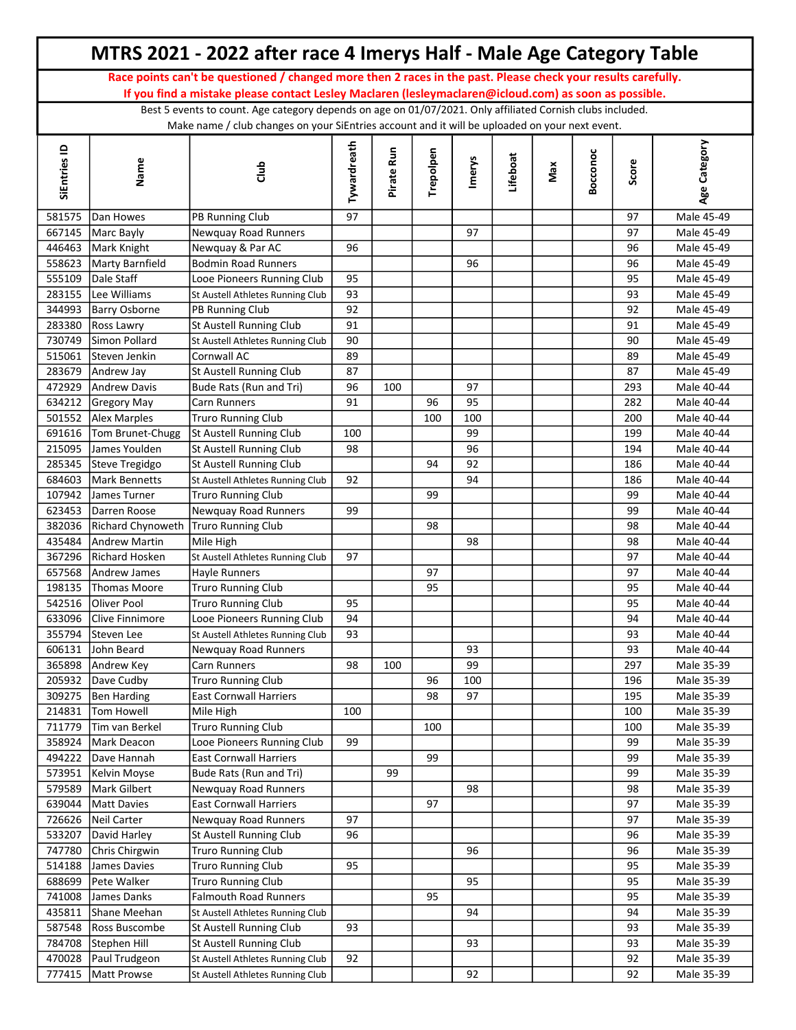|                  |                                      | MTRS 2021 - 2022 after race 4 Imerys Half - Male Age Category Table                                                                                                                                          |             |            |           |        |          |     |          |           |                          |
|------------------|--------------------------------------|--------------------------------------------------------------------------------------------------------------------------------------------------------------------------------------------------------------|-------------|------------|-----------|--------|----------|-----|----------|-----------|--------------------------|
|                  |                                      | Race points can't be questioned / changed more then 2 races in the past. Please check your results carefully.                                                                                                |             |            |           |        |          |     |          |           |                          |
|                  |                                      | If you find a mistake please contact Lesley Maclaren (lesleymaclaren@icloud.com) as soon as possible.                                                                                                        |             |            |           |        |          |     |          |           |                          |
|                  |                                      | Best 5 events to count. Age category depends on age on 01/07/2021. Only affiliated Cornish clubs included.<br>Make name / club changes on your SiEntries account and it will be uploaded on your next event. |             |            |           |        |          |     |          |           |                          |
| SiEntries ID     | Name                                 | dub                                                                                                                                                                                                          | Tywardreath | Pirate Run | Trepolpen | Imerys | Lifeboat | Max | Bocconoc | Score     | Age Category             |
| 581575           | Dan Howes                            | PB Running Club                                                                                                                                                                                              | 97          |            |           |        |          |     |          | 97        | Male 45-49               |
|                  | 667145 Marc Bayly                    | Newquay Road Runners                                                                                                                                                                                         |             |            |           | 97     |          |     |          | 97        | Male 45-49               |
|                  | 446463 Mark Knight                   | Newquay & Par AC                                                                                                                                                                                             | 96          |            |           |        |          |     |          | 96        | Male 45-49               |
| 558623           | Marty Barnfield                      | <b>Bodmin Road Runners</b>                                                                                                                                                                                   |             |            |           | 96     |          |     |          | 96        | Male 45-49               |
| 555109           | Dale Staff                           | Looe Pioneers Running Club                                                                                                                                                                                   | 95          |            |           |        |          |     |          | 95        | Male 45-49               |
| 283155           | Lee Williams                         | St Austell Athletes Running Club                                                                                                                                                                             | 93          |            |           |        |          |     |          | 93        | Male 45-49               |
| 344993           | <b>Barry Osborne</b>                 | PB Running Club                                                                                                                                                                                              | 92          |            |           |        |          |     |          | 92        | Male 45-49               |
| 283380           | <b>Ross Lawry</b>                    | St Austell Running Club                                                                                                                                                                                      | 91          |            |           |        |          |     |          | 91        | Male 45-49               |
| 730749           | Simon Pollard                        | St Austell Athletes Running Club                                                                                                                                                                             | 90          |            |           |        |          |     |          | 90        | Male 45-49               |
| 515061           | Steven Jenkin                        | Cornwall AC                                                                                                                                                                                                  | 89          |            |           |        |          |     |          | 89        | Male 45-49               |
| 283679           | Andrew Jay                           | St Austell Running Club                                                                                                                                                                                      | 87          |            |           |        |          |     |          | 87        | Male 45-49               |
| 472929           | <b>Andrew Davis</b>                  | Bude Rats (Run and Tri)                                                                                                                                                                                      | 96          | 100        |           | 97     |          |     |          | 293       | Male 40-44               |
| 634212           | <b>Gregory May</b>                   | Carn Runners                                                                                                                                                                                                 | 91          |            | 96        | 95     |          |     |          | 282       | Male 40-44               |
| 501552           | Alex Marples                         | <b>Truro Running Club</b>                                                                                                                                                                                    |             |            | 100       | 100    |          |     |          | 200       | Male 40-44               |
| 691616           | Tom Brunet-Chugg                     | St Austell Running Club                                                                                                                                                                                      | 100         |            |           | 99     |          |     |          | 199       | Male 40-44               |
| 215095           | James Youlden                        | St Austell Running Club                                                                                                                                                                                      | 98          |            |           | 96     |          |     |          | 194       | Male 40-44               |
| 285345           | Steve Tregidgo                       | St Austell Running Club                                                                                                                                                                                      |             |            | 94        | 92     |          |     |          | 186       | Male 40-44               |
| 684603           | Mark Bennetts                        | St Austell Athletes Running Club                                                                                                                                                                             | 92          |            |           | 94     |          |     |          | 186       | Male 40-44               |
| 107942           | James Turner                         | <b>Truro Running Club</b>                                                                                                                                                                                    |             |            | 99        |        |          |     |          | 99        | Male 40-44               |
| 623453           | Darren Roose                         | Newquay Road Runners                                                                                                                                                                                         | 99          |            |           |        |          |     |          | 99        | Male 40-44               |
| 382036           | Richard Chynoweth Truro Running Club |                                                                                                                                                                                                              |             |            | 98        |        |          |     |          | 98        | Male 40-44               |
| 435484           | Andrew Martin                        | Mile High                                                                                                                                                                                                    |             |            |           | 98     |          |     |          | 98        | Male 40-44               |
| 367296           | <b>Richard Hosken</b>                | St Austell Athletes Running Club                                                                                                                                                                             | 97          |            |           |        |          |     |          | 97        | Male 40-44               |
| 657568           | Andrew James                         | <b>Hayle Runners</b>                                                                                                                                                                                         |             |            | 97        |        |          |     |          | 97        | Male 40-44               |
| 198135           | Thomas Moore                         | <b>Truro Running Club</b>                                                                                                                                                                                    |             |            | 95        |        |          |     |          | 95        | Male 40-44               |
| 542516           | <b>Oliver Pool</b>                   | Truro Running Club                                                                                                                                                                                           | 95          |            |           |        |          |     |          | 95        | Male 40-44               |
|                  | 633096 Clive Finnimore               | Looe Pioneers Running Club                                                                                                                                                                                   | 94          |            |           |        |          |     |          | 94        | Male 40-44               |
|                  | 355794 Steven Lee                    | St Austell Athletes Running Club                                                                                                                                                                             | 93          |            |           |        |          |     |          | 93        | Male 40-44               |
| 606131           | John Beard                           | Newquay Road Runners                                                                                                                                                                                         |             |            |           | 93     |          |     |          | 93        | Male 40-44               |
| 365898           | Andrew Key                           | Carn Runners                                                                                                                                                                                                 | 98          | 100        |           | 99     |          |     |          | 297       | Male 35-39               |
| 205932           | Dave Cudby                           | <b>Truro Running Club</b>                                                                                                                                                                                    |             |            | 96        | 100    |          |     |          | 196       | Male 35-39               |
| 309275           | Ben Harding                          | <b>East Cornwall Harriers</b>                                                                                                                                                                                |             |            | 98        | 97     |          |     |          | 195       | Male 35-39               |
| 214831           | Tom Howell<br>Tim van Berkel         | Mile High<br><b>Truro Running Club</b>                                                                                                                                                                       | 100         |            |           |        |          |     |          | 100       | Male 35-39               |
| 711779           | Mark Deacon                          | Looe Pioneers Running Club                                                                                                                                                                                   | 99          |            | 100       |        |          |     |          | 100<br>99 | Male 35-39               |
| 358924<br>494222 |                                      |                                                                                                                                                                                                              |             |            | 99        |        |          |     |          |           | Male 35-39               |
|                  | Dave Hannah                          | <b>East Cornwall Harriers</b>                                                                                                                                                                                |             | 99         |           |        |          |     |          | 99        | Male 35-39               |
| 573951<br>579589 | Kelvin Moyse<br>Mark Gilbert         | Bude Rats (Run and Tri)<br>Newquay Road Runners                                                                                                                                                              |             |            |           | 98     |          |     |          | 99<br>98  | Male 35-39<br>Male 35-39 |
| 639044           | Matt Davies                          | <b>East Cornwall Harriers</b>                                                                                                                                                                                |             |            | 97        |        |          |     |          | 97        | Male 35-39               |
| 726626           | Neil Carter                          | Newquay Road Runners                                                                                                                                                                                         | 97          |            |           |        |          |     |          | 97        | Male 35-39               |
| 533207           | David Harley                         | St Austell Running Club                                                                                                                                                                                      | 96          |            |           |        |          |     |          | 96        | Male 35-39               |
| 747780           | Chris Chirgwin                       | <b>Truro Running Club</b>                                                                                                                                                                                    |             |            |           | 96     |          |     |          | 96        | Male 35-39               |
| 514188           | James Davies                         | <b>Truro Running Club</b>                                                                                                                                                                                    | 95          |            |           |        |          |     |          | 95        | Male 35-39               |
| 688699           | Pete Walker                          | <b>Truro Running Club</b>                                                                                                                                                                                    |             |            |           | 95     |          |     |          | 95        | Male 35-39               |
| 741008           | James Danks                          | <b>Falmouth Road Runners</b>                                                                                                                                                                                 |             |            | 95        |        |          |     |          | 95        | Male 35-39               |
| 435811           | Shane Meehan                         |                                                                                                                                                                                                              |             |            |           | 94     |          |     |          | 94        |                          |
| 587548           | Ross Buscombe                        | St Austell Athletes Running Club<br>St Austell Running Club                                                                                                                                                  | 93          |            |           |        |          |     |          | 93        | Male 35-39               |
| 784708           | Stephen Hill                         | St Austell Running Club                                                                                                                                                                                      |             |            |           | 93     |          |     |          | 93        | Male 35-39               |
| 470028           | Paul Trudgeon                        | St Austell Athletes Running Club                                                                                                                                                                             | 92          |            |           |        |          |     |          | 92        | Male 35-39<br>Male 35-39 |
|                  | 777415 Matt Prowse                   | St Austell Athletes Running Club                                                                                                                                                                             |             |            |           | 92     |          |     |          | 92        | Male 35-39               |
|                  |                                      |                                                                                                                                                                                                              |             |            |           |        |          |     |          |           |                          |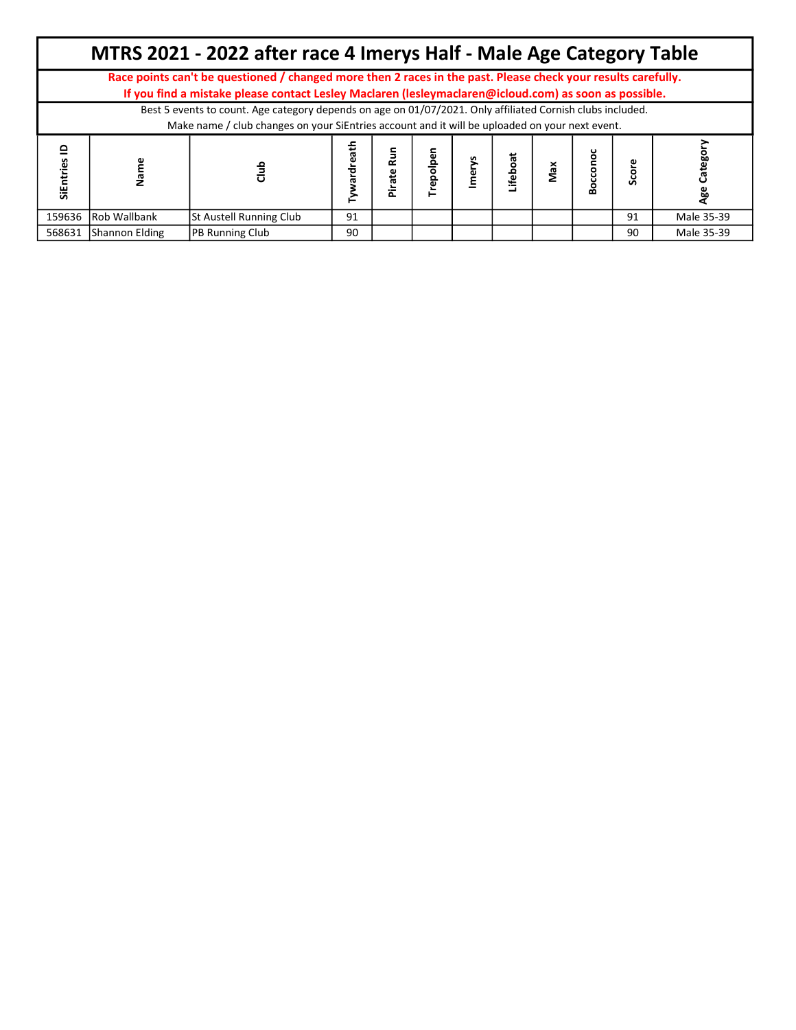|                      |                     | MTRS 2021 - 2022 after race 4 Imerys Half - Male Age Category Table                                                                                                                                                    |    |                        |         |        |         |     |           |    |            |
|----------------------|---------------------|------------------------------------------------------------------------------------------------------------------------------------------------------------------------------------------------------------------------|----|------------------------|---------|--------|---------|-----|-----------|----|------------|
|                      |                     | Race points can't be questioned / changed more then 2 races in the past. Please check your results carefully.<br>If you find a mistake please contact Lesley Maclaren (lesleymaclaren@icloud.com) as soon as possible. |    |                        |         |        |         |     |           |    |            |
|                      |                     | Best 5 events to count. Age category depends on age on 01/07/2021. Only affiliated Cornish clubs included.<br>Make name / club changes on your SiEntries account and it will be uploaded on your next event.           |    |                        |         |        |         |     |           |    |            |
| $\circ$<br>SiEntries |                     |                                                                                                                                                                                                                        |    | n<br>Rufi<br>ate<br>πΞ | epolpen | lmerys | ifeboat | Max | cono<br>Š |    |            |
| 159636               | <b>Rob Wallbank</b> | St Austell Running Club                                                                                                                                                                                                | 91 |                        |         |        |         |     |           | 91 | Male 35-39 |
| 568631               | Shannon Elding      | <b>PB Running Club</b>                                                                                                                                                                                                 | 90 |                        |         |        |         |     |           | 90 | Male 35-39 |